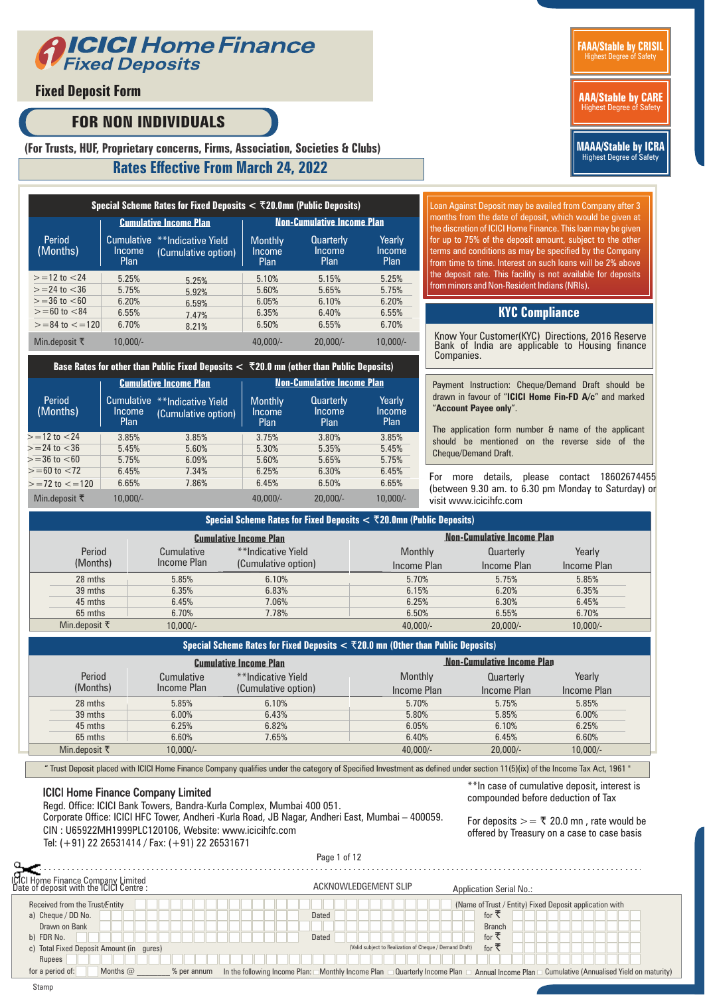

## **Fixed Deposit Form**

# **FOR NON INDIVIDUALS**



**MAAA/Stable by ICRA** Highest Degree of Safety

## **(For Trusts, HUF, Proprietary concerns, Firms, Association, Societies & Clubs)**

### **Rates Effective From March 24, 2022**

|                          |                                     | Special Scheme Rates for Fixed Deposits $<$ $\bar{\tau}$ 20.0mn (Public Deposits) |                                         |                                    |                          |  |  |  |  |
|--------------------------|-------------------------------------|-----------------------------------------------------------------------------------|-----------------------------------------|------------------------------------|--------------------------|--|--|--|--|
|                          |                                     | <b>Cumulative Income Plan</b>                                                     | <b>Non-Cumulative Income Plan</b>       |                                    |                          |  |  |  |  |
| Period<br>(Months)       | <b>Cumulative</b><br>Income<br>Plan | **Indicative Yield<br>(Cumulative option)                                         | <b>Monthly</b><br>Income<br><b>Plan</b> | <b>Quarterly</b><br>Income<br>Plan | Yearly<br>Income<br>Plan |  |  |  |  |
| $> = 12$ to $< 24$       | 5.25%                               | 5.25%                                                                             | 5.10%                                   | 5.15%                              | 5.25%                    |  |  |  |  |
| $>=$ 24 to $<$ 36        | 5.75%                               | 5.92%                                                                             | 5.60%                                   | 5.65%                              | 5.75%                    |  |  |  |  |
| $>=36$ to $< 60$         | 6,20%                               | 6.59%                                                                             | 6.05%                                   | 6.10%                              | 6.20%                    |  |  |  |  |
| $>= 60$ to $< 84$        | 6.55%                               | 7.47%                                                                             | 6.35%                                   | 6.40%                              | 6.55%                    |  |  |  |  |
| $>= 84$ to $<= 120$      | 6.70%                               | 8.21%                                                                             | 6.50%                                   | 6.55%                              | 6.70%                    |  |  |  |  |
| Min.deposit $\bar{\tau}$ | $10.000/-$                          |                                                                                   | $40.000/-$                              | $20.000/-$                         | $10.000/-$               |  |  |  |  |

#### **Base Rates for other than Public Fixed Deposits <** R**20.0 mn (other than Public Deposits)**

|                          |                                            | <b>Cumulative Income Plan</b>             | <b>Non-Cumulative Income Plan</b> |                                           |                          |  |  |  |  |
|--------------------------|--------------------------------------------|-------------------------------------------|-----------------------------------|-------------------------------------------|--------------------------|--|--|--|--|
| Period<br>(Months)       | <b>Cumulative</b><br><b>Income</b><br>Plan | **Indicative Yield<br>(Cumulative option) | <b>Monthly</b><br>Income<br>Plan  | <b>Quarterly</b><br>Income<br><b>Plan</b> | Yearly<br>Income<br>Plan |  |  |  |  |
| $> = 12$ to $< 24$       | 3.85%                                      | 3.85%                                     | 3.75%                             | 3.80%                                     | 3.85%                    |  |  |  |  |
| $>=$ 24 to $<$ 36        | 5.45%                                      | 5.60%                                     | 5.30%                             | 5.35%                                     | 5.45%                    |  |  |  |  |
| $\ge$ =36 to $<$ 60      | 5.75%                                      | 6.09%                                     | 5.60%                             | 5.65%                                     | 5.75%                    |  |  |  |  |
| $>= 60$ to $< 72$        | 6.45%                                      | 7.34%                                     | 6.25%                             | 6.30%                                     | 6.45%                    |  |  |  |  |
| $>= 72$ to $<= 120$      | 6.65%                                      | 7.86%                                     | 6.45%                             | 6.50%                                     | 6.65%                    |  |  |  |  |
| Min.deposit $\bar{\tau}$ | $10.000/-$                                 |                                           | $40.000/-$                        | $20.000/-$                                | $10.000/-$               |  |  |  |  |

Loan Against Deposit may be availed from Company after 3 months from the date of deposit, which would be given at the discretion of ICICI Home Finance. This loan may be given for up to 75% of the deposit amount, subject to the other terms and conditions as may be specified by the Company from time to time. Interest on such loans will be 2% above the deposit rate. This facility is not available for deposits from minors and Non-Resident Indians (NRIs).

### **KYC Compliance**

Know Your Customer(KYC) Directions, 2016 Reserve Bank of India are applicable to Housing finance Companies.

Payment Instruction: Cheque/Demand Draft should be drawn in favour of "**ICICI Home Fin-FD A/c**" and marked "**Account Payee only**".

The application form number & name of the applicant should be mentioned on the reverse side of the Cheque/Demand Draft.

For more details, please contact 18602674455 (between 9.30 am. to 6.30 pm Monday to Saturday) or visit www.icicihfc.com

| Special Scheme Rates for Fixed Deposits $<$ $\bar{\tau}$ 20.0mn (Public Deposits) |             |                               |             |                                   |             |  |  |  |  |  |
|-----------------------------------------------------------------------------------|-------------|-------------------------------|-------------|-----------------------------------|-------------|--|--|--|--|--|
|                                                                                   |             | <b>Cumulative Income Plan</b> |             | <b>Non-Cumulative Income Plan</b> |             |  |  |  |  |  |
| Period                                                                            | Cumulative  | **Indicative Yield            | Monthly     | Quarterly                         | Yearly      |  |  |  |  |  |
| (Months)                                                                          | Income Plan | (Cumulative option)           | Income Plan | Income Plan                       | Income Plan |  |  |  |  |  |
| 28 mths                                                                           | 5.85%       | 6.10%                         | 5.70%       | 5.75%                             | 5.85%       |  |  |  |  |  |
| 39 mths                                                                           | 6.35%       | 6.83%                         | 6.15%       | 6.20%                             | 6.35%       |  |  |  |  |  |
| 45 mths                                                                           | 6.45%       | 7.06%                         | 6.25%       | 6.30%                             | 6.45%       |  |  |  |  |  |
| 65 mths                                                                           | 6.70%       | 7.78%                         | 6.50%       | 6.55%                             | 6.70%       |  |  |  |  |  |
| Min.deposit $\bar{\tau}$                                                          | $10,000/-$  |                               | $40,000/-$  | $20,000/-$                        | $10,000/-$  |  |  |  |  |  |

| Special Scheme Rates for Fixed Deposits $<$ $\bar{\tau}$ 20.0 mn (Other than Public Deposits) |                           |                                           |                        |                                   |                       |  |  |  |  |
|-----------------------------------------------------------------------------------------------|---------------------------|-------------------------------------------|------------------------|-----------------------------------|-----------------------|--|--|--|--|
|                                                                                               |                           | <b>Cumulative Income Plan</b>             |                        | <b>Non-Cumulative Income Plan</b> |                       |  |  |  |  |
| Period<br>(Months)                                                                            | Cumulative<br>Income Plan | **Indicative Yield<br>(Cumulative option) | Monthly<br>Income Plan | Quarterly<br>Income Plan          | Yearly<br>Income Plan |  |  |  |  |
| 28 mths                                                                                       | 5.85%                     | 6.10%                                     | 5.70%                  | 5.75%                             | 5.85%                 |  |  |  |  |
| 39 mths                                                                                       | 6.00%                     | 6.43%                                     | 5.80%                  | 5.85%                             | 6.00%                 |  |  |  |  |
| 45 mths                                                                                       | 6.25%                     | 6.82%                                     | 6.05%                  | 6.10%                             | 6.25%                 |  |  |  |  |
| 65 mths                                                                                       | 6.60%                     | 7.65%                                     | 6.40%                  | 6.45%                             | 6.60%                 |  |  |  |  |
| Min.deposit $\bar{\tau}$                                                                      | $10,000/-$                |                                           | $40,000/-$             | $20,000/-$                        | $10,000/-$            |  |  |  |  |

" Trust Deposit placed with ICICI Home Finance Company qualifies under the category of Specified Investment as defined under section 11(5)(ix) of the Income Tax Act, 1961 "

### ICICI Home Finance Company Limited

Regd. Office: ICICI Bank Towers, Bandra-Kurla Complex, Mumbai 400 051. Corporate Office: ICICI HFC Tower, Andheri -Kurla Road, JB Nagar, Andheri East, Mumbai – 400059. CIN : U65922MH1999PLC120106, Website: www.icicihfc.com Tel: (+91) 22 26531414 / Fax: (+91) 22 26531671

\*\*In case of cumulative deposit, interest is compounded before deduction of Tax

For deposits  $\geq$   $=$   $\bar{\tau}$  20.0 mn, rate would be offered by Treasury on a case to case basis

|                                                                               |             | Page 1 of 12         |                                                         |                                                                                                                                                                  |  |
|-------------------------------------------------------------------------------|-------------|----------------------|---------------------------------------------------------|------------------------------------------------------------------------------------------------------------------------------------------------------------------|--|
| ICICI Home Finance Company Limited<br>Date of deposit with the ICICI Centre : |             | ACKNOWLEDGEMENT SLIP |                                                         | <b>Application Serial No.:</b>                                                                                                                                   |  |
| Received from the Trust/Entity                                                |             |                      |                                                         | (Name of Trust / Entity) Fixed Deposit application with                                                                                                          |  |
| a) Cheque / DD No.                                                            |             | <b>Dated</b>         |                                                         | for $\overline{z}$                                                                                                                                               |  |
| Drawn on Bank                                                                 |             |                      |                                                         | <b>Branch</b>                                                                                                                                                    |  |
| b) FDR No.                                                                    |             | Dated                |                                                         | for ₹                                                                                                                                                            |  |
| c) Total Fixed Deposit Amount (in gures)                                      |             |                      | (Valid subject to Realization of Cheque / Demand Draft) | for ₹                                                                                                                                                            |  |
| Rupees                                                                        |             |                      |                                                         |                                                                                                                                                                  |  |
| for a period of:<br>Months $\varpi$                                           | % per annum |                      |                                                         | In the following Income Plan: $\Box$ Monthly Income Plan $\Box$ Quarterly Income Plan $\Box$ Annual Income Plan $\Box$ Cumulative (Annualised Yield on maturity) |  |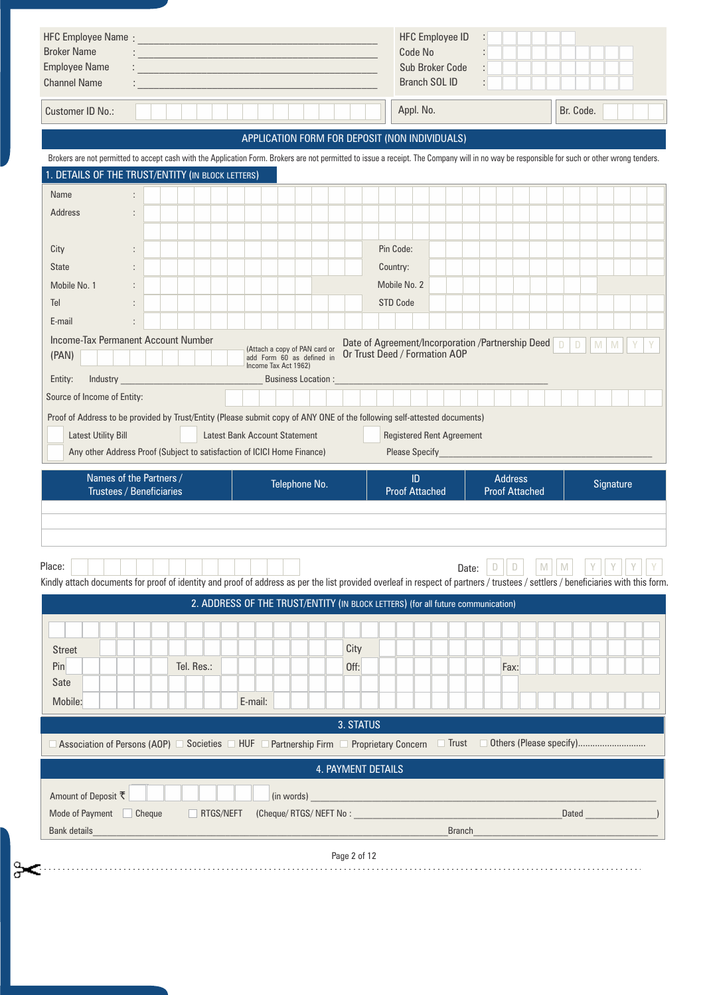| <b>Employee Name</b><br><b>Channel Name</b>                                                                                                                                                  | <u> 1999 - Johann Barbara, martin amerikan basa</u> |            |         |                      |                                      |              |                                                                                                                                                 | Code No                      | Sub Broker Code<br><b>Branch SOL ID</b> |              | ÷. |                |                       |           |              |           |  |
|----------------------------------------------------------------------------------------------------------------------------------------------------------------------------------------------|-----------------------------------------------------|------------|---------|----------------------|--------------------------------------|--------------|-------------------------------------------------------------------------------------------------------------------------------------------------|------------------------------|-----------------------------------------|--------------|----|----------------|-----------------------|-----------|--------------|-----------|--|
| Customer ID No.:                                                                                                                                                                             |                                                     |            |         |                      |                                      |              |                                                                                                                                                 | Appl. No.                    |                                         |              |    |                |                       | Br. Code. |              |           |  |
|                                                                                                                                                                                              |                                                     |            |         |                      |                                      |              | APPLICATION FORM FOR DEPOSIT (NON INDIVIDUALS)                                                                                                  |                              |                                         |              |    |                |                       |           |              |           |  |
| Brokers are not permitted to accept cash with the Application Form. Brokers are not permitted to issue a receipt. The Company will in no way be responsible for such or other wrong tenders. |                                                     |            |         |                      |                                      |              |                                                                                                                                                 |                              |                                         |              |    |                |                       |           |              |           |  |
| . DETAILS OF THE TRUST/ENTITY (IN BLOCK LETTERS)                                                                                                                                             |                                                     |            |         |                      |                                      |              |                                                                                                                                                 |                              |                                         |              |    |                |                       |           |              |           |  |
| Name                                                                                                                                                                                         |                                                     |            |         |                      |                                      |              |                                                                                                                                                 |                              |                                         |              |    |                |                       |           |              |           |  |
| <b>Address</b><br>$\ddot{\phantom{a}}$                                                                                                                                                       |                                                     |            |         |                      |                                      |              |                                                                                                                                                 |                              |                                         |              |    |                |                       |           |              |           |  |
| City                                                                                                                                                                                         |                                                     |            |         |                      |                                      |              | Pin Code:                                                                                                                                       |                              |                                         |              |    |                |                       |           |              |           |  |
| <b>State</b>                                                                                                                                                                                 |                                                     |            |         |                      |                                      |              | Country:                                                                                                                                        |                              |                                         |              |    |                |                       |           |              |           |  |
| Mobile No. 1                                                                                                                                                                                 |                                                     |            |         |                      |                                      |              | Mobile No. 2                                                                                                                                    |                              |                                         |              |    |                |                       |           |              |           |  |
| Tel                                                                                                                                                                                          |                                                     |            |         |                      |                                      |              | <b>STD Code</b>                                                                                                                                 |                              |                                         |              |    |                |                       |           |              |           |  |
| E-mail<br>$\ddot{\phantom{a}}$                                                                                                                                                               |                                                     |            |         |                      |                                      |              |                                                                                                                                                 |                              |                                         |              |    |                |                       |           |              |           |  |
| Income-Tax Permanent Account Number<br>(PAN)                                                                                                                                                 |                                                     |            |         | Income Tax Act 1962) |                                      |              | Date of Agreement/Incorporation /Partnership Deed D<br>(Attach a copy of PAN card or<br>add Form 60 as defined in Or Trust Deed / Formation AOP |                              |                                         |              |    |                |                       |           | DM           | M         |  |
| Entity:<br>Industry <b>Executive Service Service Service Service</b><br>Source of Income of Entity:                                                                                          |                                                     |            |         |                      | <b>Business Location:</b>            |              |                                                                                                                                                 |                              |                                         |              |    |                |                       |           |              |           |  |
| <b>Latest Utility Bill</b><br>Any other Address Proof (Subject to satisfaction of ICICI Home Finance)                                                                                        |                                                     |            |         |                      | <b>Latest Bank Account Statement</b> |              |                                                                                                                                                 |                              | <b>Registered Rent Agreement</b>        |              |    |                |                       |           |              |           |  |
| Names of the Partners /<br><b>Trustees / Beneficiaries</b>                                                                                                                                   |                                                     |            |         |                      | Telephone No.                        |              |                                                                                                                                                 | ID.<br><b>Proof Attached</b> |                                         |              |    | <b>Address</b> | <b>Proof Attached</b> |           |              | Signature |  |
| Place:<br>Kindly attach documents for proof of identity and proof of address as per the list provided overleaf in respect of partners / trustees / settlers / beneficiaries with this form.  |                                                     |            |         |                      |                                      |              | 2. ADDRESS OF THE TRUST/ENTITY (IN BLOCK LETTERS) (for all future communication)                                                                |                              |                                         | Date:        | D  | D              | M                     | M         |              |           |  |
| <b>Street</b><br>Pin<br><b>Sate</b><br>Mobile:                                                                                                                                               |                                                     | Tel. Res.: | E-mail: |                      |                                      | City<br>Off: |                                                                                                                                                 |                              |                                         |              |    | Fax:           |                       |           |              |           |  |
|                                                                                                                                                                                              |                                                     |            |         |                      |                                      |              |                                                                                                                                                 |                              |                                         |              |    |                |                       |           |              |           |  |
| $\Box$ Association of Persons (AOP) $\Box$ Societies $\Box$ HUF $\Box$ Partnership Firm $\Box$ Proprietary Concern                                                                           |                                                     |            |         |                      |                                      | 3. STATUS    |                                                                                                                                                 |                              |                                         | $\Box$ Trust |    |                |                       |           |              |           |  |
|                                                                                                                                                                                              |                                                     |            |         |                      |                                      |              | 4. PAYMENT DETAILS                                                                                                                              |                              |                                         |              |    |                |                       |           |              |           |  |
| Amount of Deposit ₹<br>Mode of Payment Cheque<br><b>Bank details</b>                                                                                                                         |                                                     | RTGS/NEFT  |         |                      | (in words)                           |              | (Cheque/ RTGS/ NEFT No :                                                                                                                        |                              |                                         | Branch       |    |                |                       |           | <b>Dated</b> |           |  |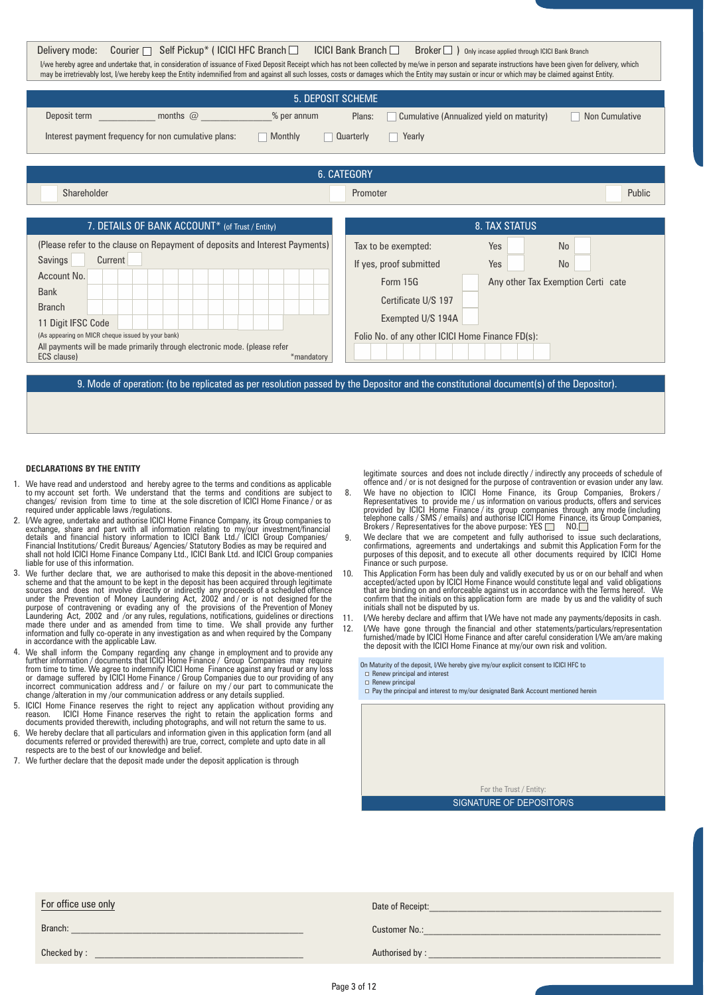| Courier $\Box$ Self Pickup* (ICICI HFC Branch $\Box$<br>Delivery mode:<br>I/we hereby agree and undertake that, in consideration of issuance of Fixed Deposit Receipt which has not been collected by me/we in person and separate instructions have been given for delivery, which<br>may be irretrievably lost, I/we hereby keep the Entity indemnified from and against all such losses, costs or damages which the Entity may sustain or incur or which may be claimed against Entity. | $ICICI$ Bank Branch<br>Broker   ) Only incase applied through ICICI Bank Branch                                                         |
|--------------------------------------------------------------------------------------------------------------------------------------------------------------------------------------------------------------------------------------------------------------------------------------------------------------------------------------------------------------------------------------------------------------------------------------------------------------------------------------------|-----------------------------------------------------------------------------------------------------------------------------------------|
| <b>5. DEPOSIT SCHEME</b>                                                                                                                                                                                                                                                                                                                                                                                                                                                                   |                                                                                                                                         |
| % per annum                                                                                                                                                                                                                                                                                                                                                                                                                                                                                | Plans:<br>Cumulative (Annualized yield on maturity)<br>Non Cumulative                                                                   |
| Interest payment frequency for non cumulative plans:<br>Monthly                                                                                                                                                                                                                                                                                                                                                                                                                            | Yearly<br><b>Quarterly</b>                                                                                                              |
|                                                                                                                                                                                                                                                                                                                                                                                                                                                                                            |                                                                                                                                         |
|                                                                                                                                                                                                                                                                                                                                                                                                                                                                                            | 6. CATEGORY                                                                                                                             |
| Shareholder                                                                                                                                                                                                                                                                                                                                                                                                                                                                                | Public<br>Promoter                                                                                                                      |
|                                                                                                                                                                                                                                                                                                                                                                                                                                                                                            |                                                                                                                                         |
| 7. DETAILS OF BANK ACCOUNT* (of Trust / Entity)                                                                                                                                                                                                                                                                                                                                                                                                                                            | 8. TAX STATUS                                                                                                                           |
| (Please refer to the clause on Repayment of deposits and Interest Payments)                                                                                                                                                                                                                                                                                                                                                                                                                |                                                                                                                                         |
|                                                                                                                                                                                                                                                                                                                                                                                                                                                                                            | Tax to be exempted:<br>Yes<br><b>No</b>                                                                                                 |
| Savings<br>Current                                                                                                                                                                                                                                                                                                                                                                                                                                                                         | Yes<br>No                                                                                                                               |
| Account No.                                                                                                                                                                                                                                                                                                                                                                                                                                                                                | If yes, proof submitted<br>Form $15G$                                                                                                   |
| <b>Bank</b>                                                                                                                                                                                                                                                                                                                                                                                                                                                                                | Any other Tax Exemption Certi cate                                                                                                      |
| <b>Branch</b>                                                                                                                                                                                                                                                                                                                                                                                                                                                                              | Certificate U/S 197                                                                                                                     |
| 11 Digit IFSC Code                                                                                                                                                                                                                                                                                                                                                                                                                                                                         | Exempted U/S 194A                                                                                                                       |
| (As appearing on MICR cheque issued by your bank)<br>All payments will be made primarily through electronic mode. (please refer<br>ECS clause)<br>*mandatory                                                                                                                                                                                                                                                                                                                               | Folio No. of any other ICICI Home Finance FD(s):                                                                                        |
|                                                                                                                                                                                                                                                                                                                                                                                                                                                                                            | 9. Mode of operation: (to be replicated as per resolution passed by the Depositor and the constitutional document(s) of the Depositor). |

#### **DECLARATIONS BY THE ENTITY**

- We have read and understood and hereby agree to the terms and conditions as applicable 1. to my account set forth. We understand that the terms and conditions are subject to changes/ revision from time to time at the sole discretion of ICICI Home Finance / or as required under applicable laws /regulations.
- 2. I/We agree, undertake and authorise ICICI Home Finance Company, its Group companies to exchange, share and part with all information relating to my/our investment/financial<br>details and financial history information to ICICI Bank Ltd./ ICICI Group Companies/<br>Financial Institutions/ Credit Bureaus/Agencies/ St liable for use of this information.
- 3. We further declare that, we are authorised to make this deposit in the above-mentioned 10. scheme and that the amount to be kept in the deposit has been acquired through legitimate<br>sources and does not involve directly or indirectly any proceeds of a scheduled offence<br>under the Prevention of Money Laundering Act in accordance with the applicable Law.
- We shall inform the Company regarding any change in employment and to provide any<br>further information / documents that ICICI Home Finance / Group Companies may require<br>from time to time. We agree to indemnify ICICI Home Fi change /alteration in my /our communication address or any details supplied. 4.
- ICICI Home Finance reserves the right to reject any application without providing.any<br>reason. ICICI Home Finance reserves the right to retain the application forms and<br>documents provided therewith, including photographs 5.
- We hereby declare that all particulars and information given in this application form (and all 6. documents referred or provided therewith) are true, correct, complete and upto date in all respects are to the best of our knowledge and belief.
- 7. We further declare that the deposit made under the deposit application is through

legitimate sources and does not include directly / indirectly any proceeds of schedule of offence and / or is not designed for the purpose of contravention or evasion under any law.

- We have no objection to ICICI Home Finance, its Group Companies, Brokers / Representatives to provide me / us information on various products, offers and services provided by ICICI Home Finance / its group companies throu 8.
- We declare that we are competent and fully authorised to issue such declarations, confirmations, agreements and undertakings and submit this Application Form for the purposes of this deposit, and to execute all other documents required by ICICI Home Finance or such purpose. 9.
- This Application Form has been duly and validly executed by us or on our behalf and when accepted/acted upon by ICICI Home Finance would constitute legal and valid obligations that are binding on and enforceable against us in accordance with the Terms hereof. We confirm that the initials on this application form are made by us and the validity of such initials shall not be disputed by us.
- I/We hereby declare and affirm that I/We have not made any payments/deposits in cash. 11. 12.
- I/We have gone through the financial and other statements/particulars/representation furnished/made by ICICI Home Finance and after careful consideration I/We am/are making the deposit with the ICICI Home Finance at my/our own risk and volition.
	- On Maturity of the deposit, I/We hereby give my/our explicit consent to ICICI HFC to  $\Box$  Renew principal and interest

□ Renew principal

 $\Box$  Pay the principal and interest to my/our designated Bank Account mentioned herein

For the Trust / Entity: SIGNATURE OF DEPOSITOR/S

| For office use only | Date of Receipt: |
|---------------------|------------------|
| Branch:             | Customer No.:    |
| Checked by:         | Authorised by:   |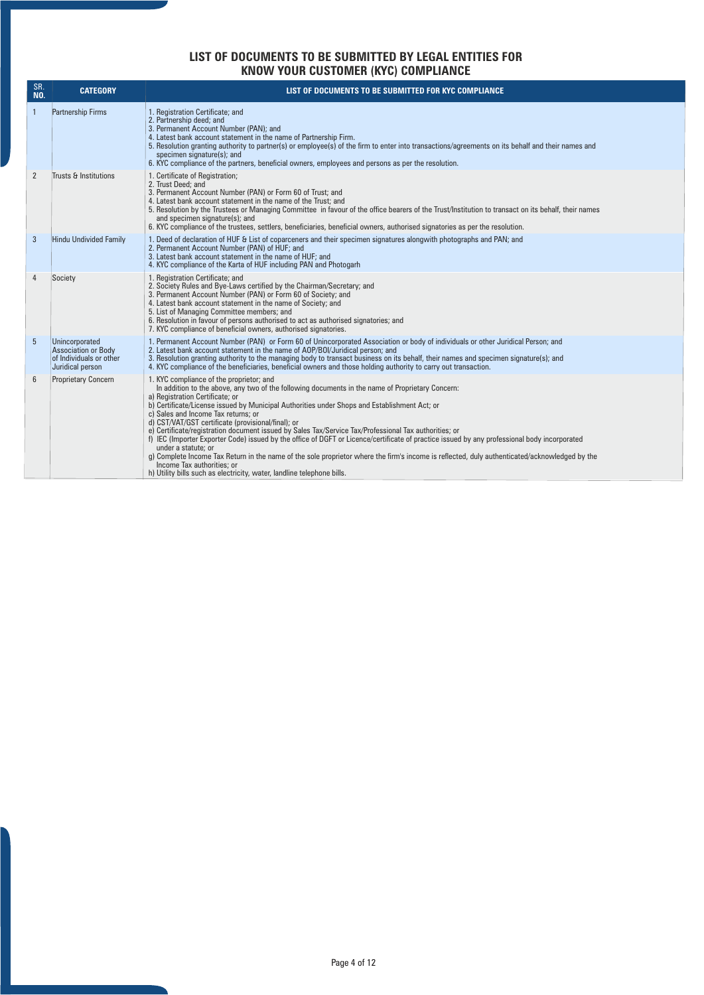### **LIST OF DOCUMENTS TO BE SUBMITTED BY LEGAL ENTITIES FOR KNOW YOUR CUSTOMER (KYC) COMPLIANCE**

| SR.<br><b>NO.</b> | <b>CATEGORY</b>                                                                             | LIST OF DOCUMENTS TO BE SUBMITTED FOR KYC COMPLIANCE                                                                                                                                                                                                                                                                                                                                                                                                                                                                                                                                                                                                                                                                                                                                                                                                                                                                  |
|-------------------|---------------------------------------------------------------------------------------------|-----------------------------------------------------------------------------------------------------------------------------------------------------------------------------------------------------------------------------------------------------------------------------------------------------------------------------------------------------------------------------------------------------------------------------------------------------------------------------------------------------------------------------------------------------------------------------------------------------------------------------------------------------------------------------------------------------------------------------------------------------------------------------------------------------------------------------------------------------------------------------------------------------------------------|
| $\overline{1}$    | <b>Partnership Firms</b>                                                                    | 1. Registration Certificate; and<br>2. Partnership deed; and<br>3. Permanent Account Number (PAN); and<br>4. Latest bank account statement in the name of Partnership Firm.<br>5. Resolution granting authority to partner(s) or employee(s) of the firm to enter into transactions/agreements on its behalf and their names and<br>specimen signature(s); and<br>6. KYC compliance of the partners, beneficial owners, employees and persons as per the resolution.                                                                                                                                                                                                                                                                                                                                                                                                                                                  |
| 2                 | Trusts & Institutions                                                                       | 1. Certificate of Registration;<br>2. Trust Deed: and<br>3. Permanent Account Number (PAN) or Form 60 of Trust; and<br>4. Latest bank account statement in the name of the Trust: and<br>5. Resolution by the Trustees or Managing Committee in favour of the office bearers of the Trust/Institution to transact on its behalf, their names<br>and specimen signature(s): and<br>6. KYC compliance of the trustees, settlers, beneficiaries, beneficial owners, authorised signatories as per the resolution.                                                                                                                                                                                                                                                                                                                                                                                                        |
| $\overline{3}$    | <b>Hindu Undivided Family</b>                                                               | 1. Deed of declaration of HUF & List of coparceners and their specimen signatures alongwith photographs and PAN; and<br>2. Permanent Account Number (PAN) of HUF; and<br>3. Latest bank account statement in the name of HUF: and<br>4. KYC compliance of the Karta of HUF including PAN and Photogarh                                                                                                                                                                                                                                                                                                                                                                                                                                                                                                                                                                                                                |
| $\overline{4}$    | Society                                                                                     | 1. Registration Certificate: and<br>2. Society Rules and Bye-Laws certified by the Chairman/Secretary; and<br>3. Permanent Account Number (PAN) or Form 60 of Society; and<br>4. Latest bank account statement in the name of Society; and<br>5. List of Managing Committee members; and<br>6. Resolution in favour of persons authorised to act as authorised signatories; and<br>7. KYC compliance of beneficial owners, authorised signatories.                                                                                                                                                                                                                                                                                                                                                                                                                                                                    |
| 5                 | Unincorporated<br><b>Association or Body</b><br>of Individuals or other<br>Juridical person | 1. Permanent Account Number (PAN) or Form 60 of Unincorporated Association or body of individuals or other Juridical Person; and<br>2. Latest bank account statement in the name of AOP/BOI/Juridical person; and<br>3. Resolution granting authority to the managing body to transact business on its behalf, their names and specimen signature(s); and<br>4. KYC compliance of the beneficiaries, beneficial owners and those holding authority to carry out transaction.                                                                                                                                                                                                                                                                                                                                                                                                                                          |
| $6\phantom{1}6$   | <b>Proprietary Concern</b>                                                                  | 1. KYC compliance of the proprietor; and<br>In addition to the above, any two of the following documents in the name of Proprietary Concern:<br>a) Registration Certificate: or<br>b) Certificate/License issued by Municipal Authorities under Shops and Establishment Act; or<br>c) Sales and Income Tax returns; or<br>d) CST/VAT/GST certificate (provisional/final); or<br>e) Certificate/registration document issued by Sales Tax/Service Tax/Professional Tax authorities; or<br>f) IEC (Importer Exporter Code) issued by the office of DGFT or Licence/certificate of practice issued by any professional body incorporated<br>under a statute: or<br>g) Complete Income Tax Return in the name of the sole proprietor where the firm's income is reflected, duly authenticated/acknowledged by the<br>Income Tax authorities; or<br>h) Utility bills such as electricity, water, landline telephone bills. |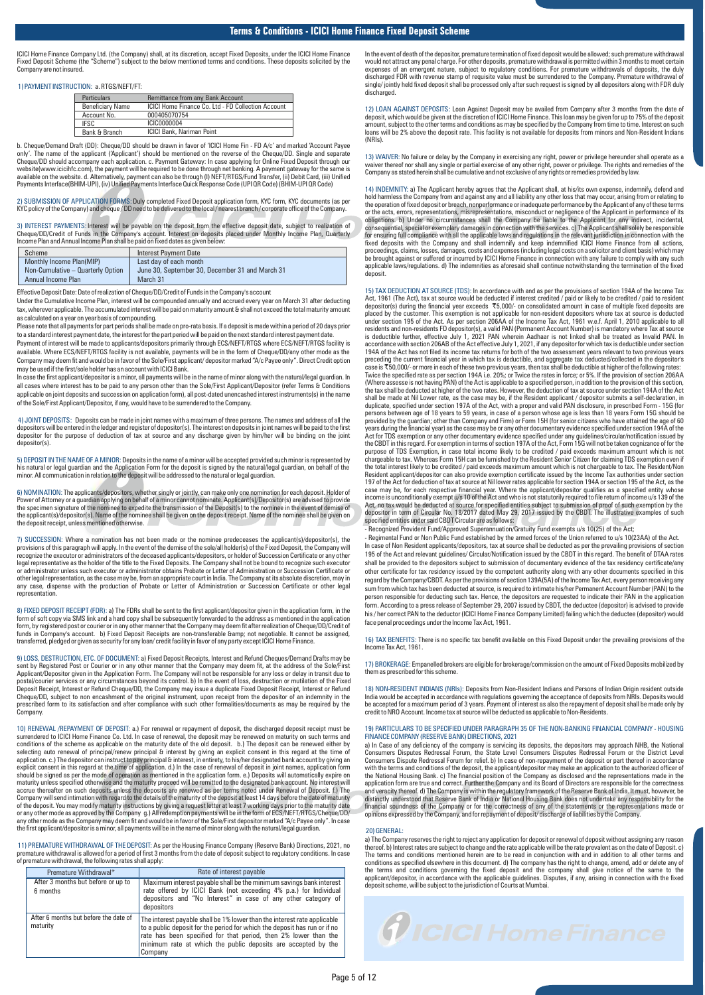ICICI Home Finance Company Ltd. (the Company) shall, at its discretion, accept Fixed Deposits, under the ICICI Home Finance<br>Fixed Deposit Scheme (the "Scheme") subject to the below mentioned terms and conditions. These dep Company are not insured.

1) PAYMENT INSTRUCTION: a. RTGS/NEFT/FT:

| <b>Particulars</b>      | <b>Remittance from any Bank Account</b>                   |
|-------------------------|-----------------------------------------------------------|
| <b>Beneficiary Name</b> | <b>ICICI Home Finance Co. Ltd - FD Collection Account</b> |
| Account No.             | 000405070754                                              |
| <b>IFSC</b>             | ICIC0000004                                               |
| Bank & Branch           | <b>ICICI Bank, Nariman Point</b>                          |

b. Cheque/Demand Draft (DD): Cheque/DD should be drawn in favor of 'ICICI Home Fin - FD A/c' and marked 'Account Payee only'. The name of the applicant ('Applicant') should be mentioned on the reverse of the Cheque/DD. Single and separate Cheque/DD should accompany each application. c. Payment Gateway: In case applying for Online Fixed Deposit through our<br>website(www.icicihfc.com), the payment will be required to be done through net banking. A payment gatew Payments Interface(BHIM-UPI), (iv) Unified Payments Interface Quick Response Code (UPI QR Code) (BHIM-UPI QR Code)

2) SUBMISSION OF APPLICATION FORMS: Duly completed Fixed Deposit application form, KYC form, KYC documents (as per<br>KYC policy of the Company) and cheque/DD need to be delivered to the local/nearest branch/corporate office

3) INTEREST PAYMENTS: Interest will be payable on the deposit from the effective deposit date, subject to realization of<br>Cheque/DD/Credit of Funds in the Company's account. Interest on deposits placed under Monthly Income Income Plan and Annual Income Plan shall be paid on fixed dates as given below:

| Scheme                            | Interest Payment Date                           |
|-----------------------------------|-------------------------------------------------|
| Monthly Income Plan(MIP)          | Last day of each month                          |
| Non-Cumulative - Quarterly Option | June 30. September 30. December 31 and March 31 |
| Annual Income Plan                | March 31                                        |

Effective Deposit Date: Date of realization of Cheque/DD/Credit of Funds in the Company's account

Under the Cumulative Income Plan, interest will be compounded annually and accrued every year on March 31 after deducting tax, wherever applicable. The accumulated interest will be paid on maturity amount & shall not exceed the total maturity amount as calculated on a year on year basis of compounding.

Please note that all payments for part periods shall be made on pro-rata basis. If a deposit is made within a period of 20 days prior to a standard interest payment date, the interest for the part period will be paid on the next standard interest payment date.

Payment of interest will be made to applicants/depositors primarily through ECS/NEFT/RTGS where ECS/NEFT/RTGS facility is available. Where ECS/NEFT/RTGS facility is not available, payments will be in the form of Cheque/DD/any other mode as the Company may deem fit and would be in favor of the Sole/First applicant/ depositor marked "A/c Payee only". Direct Credit option may be used if the first/sole holder has an account with ICICI Bank.

In case the first applicant/depositor is a minor, all payments will be in the name of minor along with the natural/legal guardian. In all cases where interest has to be paid to any person other than the Sole/First Applicant/Depositor (refer Terms & Conditions applicable on joint deposits and succession on application form), all post-dated unencashed interest instruments(s) in the name of the Sole/First Applicant/Depositor, if any, would have to be surrendered to the Company.

4) JOINT DEPOSITS: Deposits can be made in joint names with a maximum of three persons. The names and address of all the<br>depositors will be entered in the ledger and register of depositor(s). The interest on deposits in jo depositor for the purpose of deduction of tax at source and any discharge given by him/her will be binding on the joint depositor(s).

5) DEPOSIT IN THE NAME OF A MINOR: Deposits in the name of a minor will be accepted provided such minor is represented by<br>his natural or legal guardian and the Ap<u>plicat</u>ion Form for the deposit is signed by the natural/le minor. All communication in relation to the deposit will be addressed to the natural or legal guardian.

6) NOMINATION: The applicants/depositors, whether singly or jointly, can make only one nomination for each deposit. Holder of<br>Power of Attorney or a guardian applying on behalf of a minor cannot nominate. Applicant(s)/Depo the applicant(s)/depositor(s). Name of the nominee shall be given on the deposit receipt. Name of the nominee shall be given on the deposit receipt, unless mentio

7) SUCCESSION: Where a nomination has not been made or the nominee predeceases the applicant(s)/depositor(s), the<br>provisions of this paragraph will apply. In the event of the demise of the sole/all holder(s) of the Fixed D legal representative as the holder of the title to the Fixed Deposits. The Company shall not be bound to recognize such executor<br>or administrator unless such executor or administrator obtains Probate or Letter of Administr other legal representation, as the case may be, from an appropriate court in India. The Company at its absolute discretion, may in any case, dispense with the production of Probate or Letter of Administration or Succession Certificate or other legal representation.

8) FIXED DEPOSIT RECEIPT (FDR): a) The FDRs shall be sent to the first applicant/depositor given in the application form, in the form of soft copy via SMS link and a hard copy shall be subsequently forwarded to the address as mentioned in the application<br>form, by registered post or courier or in any other manner that the Company may deem fit after r transferred, pledged or given as security for any loan/ credit facility in favor of any party except ICICI Home Finance.

9) LOSS, DESTRUCTION, ETC. OF DOCUMENT: a) Fixed Deposit Receipts, Interest and Refund Cheques/Demand Drafts may be sent by Registered Post or Courier or in any other manner that the Company may deem fit, at the address of the Sole/First Applicant/Depositor given in the Application Form. The Company will not be responsible for any loss or delay in transit due to<br>postal/courier services or any circumstances beyond its control. b) In the event of loss, destr Deposit Receipt, Interest or Refund Cheque/DD, the Company may issue a duplicate Fixed Deposit Receipt, Interest or Refund<br>Cheque/DD, subject to non encashment of the original instrument, upon receipt from the depositor of prescribed form to its satisfaction and after compliance with such other formalities/documents as may be required by the Company.

10) RENEWAL /REPAYMENT OF DEPOSIT: a.) For renewal or repayment of deposit, the discharged deposit receipt must be surrendered to ICICI Home Finance Co. Ltd. In case of renewal, the deposit may be renewed on maturity on such terms and<br>conditions of the scheme as applicable on the maturity date of the old deposit. b.) The deposit can b selecting auto renewal of principal/fenew principal & interest by giving an explicit consent in this regard at the time of application. c.) The depositor can instruct to pay principal & interest, in entirety, to his/her de Company will send intimation with regard to the details of the maturity of the deposit at least 14 days before the date of maturity<br>of the deposit. You may modify maturity instructions by giving a request letter at least 7 any other mode as the Company may deem fit and would be in favor of the Sole/First depositor marked "A/c Payee only". In case<br>the first applicant/depositor is a minor, all payments will be in the name of minor along with t

11) PREMATURE WITHDRAWAL OF THE DEPOSIT: As per the Housing Finance Company (Reserve Bank) Directions, 2021, no premature withdrawal is allowed for a period of first 3 months from the date of deposit subject to regulatory conditions. In case of premature withdrawal, the following rates shall apply:

| Premature Withdrawal*                             | Rate of interest payable                                                                                                                                                                                                                                                                             |
|---------------------------------------------------|------------------------------------------------------------------------------------------------------------------------------------------------------------------------------------------------------------------------------------------------------------------------------------------------------|
| After 3 months but before or up to<br>6 months    | Maximum interest payable shall be the minimum savings bank interest<br>rate offered by ICICI Bank (not exceeding 4% p.a.) for Individual<br>depositors and "No Interest" in case of any other category of<br>depositors                                                                              |
| After 6 months but before the date of<br>maturity | The interest payable shall be 1% lower than the interest rate applicable<br>to a public deposit for the period for which the deposit has run or if no<br>rate has been specified for that period, then 2% lower than the<br>minimum rate at which the public deposits are accepted by the<br>Company |

In the event of death of the depositor, premature termination of fixed deposit would be allowed; such premature withdrawal<br>would not attract any penal charge. For other deposits, premature withdrawal is permitted within 3 discharged FDR with revenue stamp of requisite value must be surrendered to the Company. Premature withdrawal of single/ jointly held fixed deposit shall be processed only after such request is signed by all depositors along with FDR duly discharged

12) LOAN AGAINST DEPOSITS: Loan Against Deposit may be availed from Company after 3 months from the date of deposit, which would be given at the discretion of ICICI Home Finance. This loan may be given for up to 75% of the deposit<br>amount, subject to the other terms and conditions as may be specified by the Company from time to t (NRIs).

13) WAIVER: No failure or delay by the Company in exercising any right, power or privilege hereunder shall operate as a waiver thereof nor shall any single or partial exercise of any other right, power or privilege. The rights and remedies of the<br>Company as stated herein shall be cumulative and not exclusive of any rights or remedies provid

14) INDEMNITY: a) The Applicant hereby agrees that the Applicant shall, at his/its own expense, indemnify, defend and hold harmless the Company from and against any and all liability any other loss that may occur, arising consequential, special or exemplary damages in connection with the services. c) The Applicant shall solely be responsible<br>for ensuring full compliance with all the applicable laws and regulations in the relevant jurisdicti proceedings, claims, losses, damages, costs and expenses (including legal costs on a solicitor and client basis) which may<br>be brought against or suffered or incurred by ICICI Home Finance in connection with any failure to deposit.

15) TAX DEDUCTION AT SOURCE (TDS): In accordance with and as per the provisions of section 194A of the Income Tax<br>Act, 1961 (The Act), tax at source would be deducted if interest credited / paid or likely to be credited / placed by the customer. This exemption is not applicable for non-resident depositors where tax at source is deducted<br>under section 195 of the Act. As per section 206AA of the Income Tax Act, 1961 w.e.f. April 1, 2010 appli accordance with section 206AB of the Act effective July 1, 2021, if any depositor for which tax is deductible under section<br>194A of the Act has not filed its income tax returns for both of the two assessment years relevant preceding the current financial year in which tax is deductible, and aggregate tax deducted/collected in the depositor's<br>case is ₹50,000/- or more in each of these two previous years, then tax shall be deductible at highe the tax shall be deducted at higher of the two rates. However, the deduction of tax at source under section 194A of the Act<br>shall be made at Nil Lower rate, as the case may be, if the Resident applicant / depositor submits persons between age of 18 years to 59 years, in case of a person whose age is less than 18 years Form 15G should be<br>provided by the guardian; other than Company and Firm) or Form 15H (for senior citizens who have attained Act for TDS exemption or any other documentary evidence specified under any guidelines/circular/notification issued by<br>the CBDT in this regard. For exemption in terms of section 197A of the Act, Form 15G will not be taken chargeable to tax. Whereas Form 15H can be furnished by the Resident Senior Citizen for claiming TDS exemption even if<br>the total interest likely to be credited / paid exceeds maximum amount which is not chargeable to tax. 197 of the Act for deduction of tax at source at Nil lower rates applicable for section 194A or section 195 of the Act, as the<br>case may be, for each respective financial year. Where the applicant/depositor qualifies as a s Act, no tax would be deducted at source for specified entities subject to submission of proof of such exemption by the depositor in term of Circular No. 18/2017 dated May 29, 2017 issued by the CBDT. The illustrative examples of such<br>specified entities under said CBDT Circular are as follows:<br>- Recognized Provident Fund/Approved Superannua

Regimental Fund or Non Public Fund established by the armed forces of the Union referred to u/s 10(23AA) of the Act. In case of Non Resident applicants/depositors, tax at source shall be deducted as per the prevailing provisions of section<br>195 of the Act and relevant guidelines/ Circular/Notification issued by the CBDT in this regard. Th shall be provided to the depositors subject to submission of documentary evidence of the tax residency certificate/any other certificate for tax residency issued by the competent authority along with any other documents specified in this regard by the Company/CBDT. As per the provisions of section 139A(5A) of the Income Tax Act, every person receiving any sum from which tax has been deducted at source, is required to intimate his/her Permanent Account Number (PAN) to the<br>person responsible for deducting such tax. Hence, the depositors are requested to indicate their PAN in form. According to a press release of September 29, 2007 issued by CBDT, the deductee (depositor) is advised to provide<br>his / her correct PAN to the deductor (ICICI Home Finance Company Limited) failing which the deductee face penal proceedings under the Income Tax Act, 1961.

16) TAX BENEFITS: There is no specific tax benefit available on this Fixed Deposit under the prevailing provisions of the Income Tax Act, 1961.

17) BROKERAGE: Empanelled brokers are eligible for brokerage/commission on the amount of Fixed Deposits mobilized by them as prescribed for this scheme.

18) NON-RESIDENT INDIANS (NRIs): Deposits from Non-Resident Indians and Persons of Indian Origin resident outside<br>India would be accepted in accordance with regulations governing the acceptance of deposits from NRIs. Depos be accepted for a maximum period of 3 years. Payment of interest as also the repayment of deposit shall be made only by credit to NRO Account. Income tax at source will be deducted as applicable to Non-Residents.

#### 19) PARTICULARS TO BE SPECIFIED UNDER PARAGRAPH 35 OF THE NON-BANKING FINANCIAL COMPANY - HOUSING FINANCE COMPANY (RESERVE BANK) DIRECTIONS, 2021

a) In Case of any deficiency of the company is servicing its deposits, the depositors may approach NHB, the National<br>Consumers Disputes Redressal Forum, the State Level Consumers Disputes Redressal Forum or the District Le with the terms and conditions of the deposit, the applicant/depositor may make an application to the authorized officer of<br>the National Housing Bank. c) The financial position of the Company as disclosed and the representa and veracity thereof. d) The Company is within the regulatory framework of the Reserve Bank of India. It must, however, be<br>distinctly understood that Reserve Bank of India or National Housing Bank does not undertake any re opinions expressed by the Company, and for repayment of deposit/ discharge of liabilities by the Company.

#### 20) GENERAL:

a) The Company reserves the right to reject any application for deposit or renewal of deposit without assigning any reason<br>thereof. b) Interest rates are subject to change and the rate applicable will be the rate prevalent conditions as specified elsewhere in this document. d) The company has the right to change, amend, add or delete any of Premature Withdrawal\* and the company shall give notice of the same to the terms and conditions governing the fixed deposit and the company shall give notice of the same to the same to the same to the same to the same to t

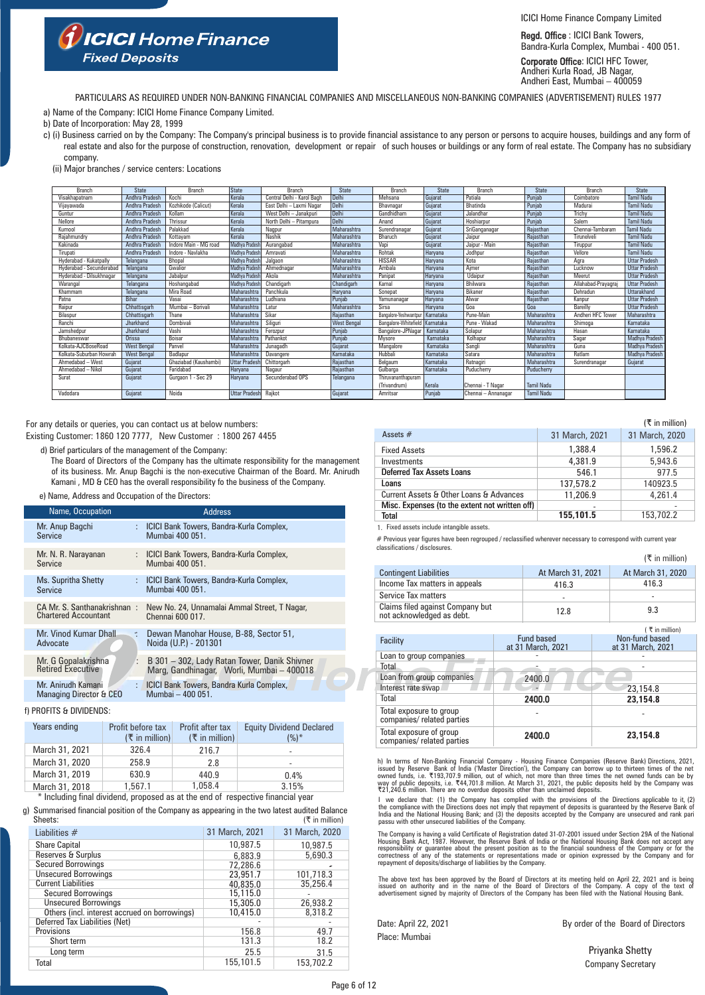ICICI Home Finance Company Limited

Regd. Office : ICICI Bank Towers, Bandra-Kurla Complex, Mumbai - 400 051.

Corporate Office: ICICI HFC Tower, Andheri Kurla Road, JB Nagar, Andheri East, Mumbai – 400059

PARTICULARS AS REQUIRED UNDER NON-BANKING FINANCIAL COMPANIES AND MISCELLANEOUS NON-BANKING COMPANIES (ADVERTISEMENT) RULES 1977

a) Name of the Company: ICICI Home Finance Company Limited.

**ICICI** Home Finance

- b) Date of Incorporation: May 28, 1999
- c) (i) Business carried on by the Company: The Company's principal business is to provide financial assistance to any person or persons to acquire houses, buildings and any form of real estate and also for the purpose of construction, renovation, development or repair of such houses or buildings or any form of real estate. The Company has no subsidiary company.
	- (ii) Major branches / service centers: Locations

**Fixed Deposits** 

| Branch                   | <b>State</b>          | Branch                | <b>State</b>         | Branch                           | <b>State</b>       | Branch                | <b>State</b> | Branch              | <b>State</b>      | <b>Branch</b>       | <b>State</b>          |
|--------------------------|-----------------------|-----------------------|----------------------|----------------------------------|--------------------|-----------------------|--------------|---------------------|-------------------|---------------------|-----------------------|
| Visakhapatnam            | <b>Andhra Pradesh</b> | Kochi                 | Kerala               | Central Delhi - Karol Bagh       | Delhi              | Mehsana               | Gujarat      | Patiala             | Puniab            | Coimbatore          | <b>Tamil Nadu</b>     |
| Vijayawada               | Andhra Pradesh        | Kozhikode (Calicut)   | Kerala               | East Delhi - Laxmi Nagar         | Delhi              | Bhavnagar             | Gujarat      | Bhatinda            | Punjab            | Madurai             | <b>Tamil Nadu</b>     |
| Guntur                   | <b>Andhra Pradesh</b> | Kollam                | Kerala               | <b>West Delhi</b><br>- Janakpuri | <b>Delhi</b>       | Gandhidham            | Gujarat      | Jalandhar           | Puniab            | Trichy              | <b>Tamil Nadu</b>     |
| Nellore                  | Andhra Pradesh        | Thrissur              | Kerala               | North Delhi - Pitampura          | Delhi              | Anand                 | Gujarat      | Hoshiarpur          | Puniab            | Salem               | <b>Tamil Nadu</b>     |
| Kurnool                  | Andhra Pradesh        | Palakkad              | Kerala               | Nagpur                           | Maharashtra        | Surendranagar         | Gujarat      | SriGanganagar       | Rajasthan         | Chennai-Tambaram    | <b>Tamil Nadu</b>     |
| Raiahmundrv              | Andhra Pradesh        | Kottavam              | Kerala               | Nashik                           | Maharashtra        | Bharuch               | Gujarat      | Jaipur              | Rajasthan         | Tirunelveli         | <b>Tamil Nadu</b>     |
| Kakinada                 | Andhra Pradesh        | Indore Main - MG road | Madhya Pradesh       | Aurangabad                       | Maharashtra        | Vapi                  | Gujarat      | Jaipur - Main       | Rajasthan         | Tiruppur            | <b>Tamil Nadu</b>     |
| Tirupati                 | Andhra Pradesh        | Indore - Navlakha     | Madhva Pradesh       | Amravati                         | Maharashtra        | Rohtak                | Haryana      | Jodhpur             | Raiasthan         | Vellore             | <b>Tamil Nadu</b>     |
| Hyderabad - Kukatpally   | Telangana             | Bhopal                | Madhva Pradesh       | Jalgaon                          | Maharashtra        | <b>HISSAR</b>         | Haryana      | Kota                | Rajasthan         | Agra                | <b>Uttar Pradesh</b>  |
| Hyderabad - Secunderabad | Telangana             | Gwalior               | Madhya Pradesh       | Ahmednagar                       | Maharashtra        | Ambala                | Haryana      | Aimer               | Raiasthan         | Lucknow             | <b>Uttar Pradesh</b>  |
| Hyderabad - Dilsukhnagar | Telangana             | Jabalpur              | Madhya Pradesh       | Akola                            | Maharashtra        | Panipat               | Haryana      | Udaipur             | Rajasthan         | Meerut              | <b>Uttar Pradesh</b>  |
| Warangal                 | Telangana             | Hoshangabad           | Madhva Pradesh       | Chandigarh                       | Chandigarh         | Karnal                | Haryana      | Bhilwara            | Rajasthan         | Allahabad-Prayagraj | <b>Uttar Pradesh</b>  |
| Khammam                  | Telangana             | <b>Mira Road</b>      | Maharashtra          | Panchkula                        | Haryana            | Sonepat               | Haryana      | Bikaner             | Rajasthan         | Dehradun            | <b>Uttarakhand</b>    |
| Patna                    | Bihar                 | Vasai                 | Maharashtra          | Ludhiana                         | Punjab             | Yamunanagar           | Harvana      | Alwar               | Rajasthan         | Kanpur              | <b>Uttar Pradesh</b>  |
| Raipur                   | Chhattisgarh          | Mumbai - Borivali     | Maharashtra          | Latur                            | Maharashtra        | Sirsa                 | Harvana      | Goa                 | Goa               | Bareilly            | <b>Uttar Pradesh</b>  |
| Bilaspur                 | Chhattisgarh          | Thane                 | Maharashtra          | Sikar                            | Raiasthan          | Bangalore-Yeshwantour | Karnataka    | Pune-Main           | Maharashtra       | Andheri HFC Tower   | Maharashtra           |
| Ranchi                   | Jharkhand             | Dombivali             | Maharashtra          | Siliguri                         | <b>West Bengal</b> | Bangalore-Whitefield  | Karnataka    | Pune - Wakad        | Maharashtra       | Shimoga             | Karnataka             |
| Jamshedpur               | Jharkhand             | Vashi                 | Maharashtra          | Ferozour                         | Punjab             | Bangalore-JPNagar     | Karnataka    | Solapur             | Maharashtra       | Hasan               | Karnataka             |
| Bhubaneswar              | Orissa                | Boisar                | Maharashtra          | Pathankot                        | Punjab             | Mysore                | Karnataka    | Kolhapur            | Maharashtra       | Sagar               | Madhya Pradesh        |
| Kolkata-AJCBoseRoad      | <b>West Bengal</b>    | Panvel                | Maharashtra          | Junagadh                         | Gujarat            | Mangalore             | Kamataka     | Sangli              | Maharashtra       | Guna                | <b>Madhva Pradesh</b> |
| Kolkata-Suburban Howrah  | <b>West Bengal</b>    | Badlapur              | Maharashtra          | Davangere                        | Karnataka          | Hubbali               | Karnataka    | Satara              | Maharashtra       | Ratlam              | Madhya Pradesh        |
| Ahmedabad - West         | Guiarat               | Ghaziabad (Kaushambi) | <b>Uttar Pradesh</b> | Chittorgarh                      | Raiasthan          | Belgaum               | Karnataka    | Ratnagiri           | Maharashtra       | Surendranagar       | Guiarat               |
| Ahmedabad - Nikol        | Gujarat               | Faridabad             | Harvana              | Nagaur                           | Raiasthan          | Gulbarga              | Karnataka    | Puducherry          | Puducherry        |                     |                       |
| Surat                    | Guiarat               | Gurgaon 1 - Sec 29    | Harvana              | Secunderabad OPS                 | Telangana          | Thiruvananthapuram    |              |                     |                   |                     |                       |
|                          |                       |                       |                      |                                  |                    | (Trivandrum)          | Kerala       | Chennai - T Nagar   | <b>Tamil Nadu</b> |                     |                       |
| Vadodara                 | Gujarat               | Noida                 | <b>Uttar Pradesh</b> | Rajkot                           | Gujarat            | Amritsar              | Punjab       | Chennai - Annanagar | <b>Tamil Nadu</b> |                     |                       |

For any details or queries, you can contact us at below numbers: Existing Customer: 1860 120 7777, New Customer : 1800 267 4455

d) Brief particulars of the management of the Company:

The Board of Directors of the Company has the ultimate responsibility for the management of its business. Mr. Anup Bagchi is the non-executive Chairman of the Board. Mr. Anirudh Kamani , MD & CEO has the overall responsibility fo the business of the Company.

#### e) Name, Address and Occupation of the Directors:

| Name, Occupation                                              | <b>Address</b>                                                                            |
|---------------------------------------------------------------|-------------------------------------------------------------------------------------------|
| Mr. Anup Bagchi<br>Service                                    | : ICICI Bank Towers, Bandra-Kurla Complex,<br>Mumbai 400 051.                             |
| Mr. N. R. Narayanan<br>Service                                | : ICICI Bank Towers, Bandra-Kurla Complex,<br>Mumbai 400 051.                             |
| Ms. Supritha Shetty<br>Service                                | : ICICI Bank Towers, Bandra-Kurla Complex,<br>Mumbai 400 051.                             |
| CA Mr. S. Santhanakrishnan:<br><b>Chartered Accountant</b>    | New No. 24, Unnamalai Ammal Street, T Nagar,<br>Chennai 600 017.                          |
| Mr. Vinod Kumar Dhall<br>÷<br>Advocate                        | Dewan Manohar House, B-88, Sector 51,<br>Noida (U.P.) - 201301                            |
| Mr. G Gopalakrishna<br>÷<br><b>Retired Executive</b>          | B 301 - 302, Lady Ratan Tower, Danik Shivner<br>Marg, Gandhinagar, Worli, Mumbai - 400018 |
| Mr. Anirudh Kamani<br>÷<br><b>Managing Director &amp; CEO</b> | <b>ICICI Bank Towers, Bandra Kurla Complex,</b><br>Mumbai - 400 051.                      |

#### f) PROFITS & DIVIDENDS:

| Years ending   | Profit before tax<br>$(\xi$ in million) | Profit after tax<br>$(\bar{\tau}$ in million) | <b>Equity Dividend Declared</b><br>$(%)^*$ |
|----------------|-----------------------------------------|-----------------------------------------------|--------------------------------------------|
| March 31, 2021 | 326.4                                   | 216.7                                         | $\overline{\phantom{a}}$                   |
| March 31, 2020 | 258.9                                   | 2.8                                           | $\,$                                       |
| March 31, 2019 | 630.9                                   | 440.9                                         | 0.4%                                       |
| March 31, 2018 | 1,567.1                                 | 1.058.4                                       | 3.15%                                      |

\* Including final dividend, proposed as at the end of respective financial year

 $($  $\overline{\tau}$  in million) g) Summarised financial position of the Company as appearing in the two latest audited Balance Sheets:

| Liabilities $#$                               | 31 March, 2021 | 31 March, 2020 |
|-----------------------------------------------|----------------|----------------|
| <b>Share Capital</b>                          | 10,987.5       | 10,987.5       |
| Reserves & Surplus                            | 6,883.9        | 5,690.3        |
| <b>Secured Borrowings</b>                     | 72,286.6       |                |
| <b>Unsecured Borrowings</b>                   | 23,951.7       | 101,718.3      |
| <b>Current Liabilities</b>                    | 40,835.0       | 35,256.4       |
| <b>Secured Borrowings</b>                     | 15,115.0       |                |
| <b>Unsecured Borrowings</b>                   | 15,305.0       | 26,938.2       |
| Others (incl. interest accrued on borrowings) | 10,415.0       | 8.318.2        |
| Deferred Tax Liabilities (Net)                |                |                |
| Provisions                                    | 156.8          | 49.7           |
| Short term                                    | 131.3          | 18.2           |
| Long term                                     | 25.5           | 31.5           |
| Total                                         | 155,101.5      | 153,702.2      |

|                                                |                | (₹ in million) |
|------------------------------------------------|----------------|----------------|
| Assets $#$                                     | 31 March, 2021 | 31 March, 2020 |
| <b>Fixed Assets</b>                            | 1,388.4        | 1,596.2        |
| Investments                                    | 4,381.9        | 5.943.6        |
| <b>Deferred Tax Assets Loans</b>               | 546.1          | 977.5          |
| Loans                                          | 137,578.2      | 140923.5       |
| Current Assets & Other Loans & Advances        | 11,206.9       | 4.261.4        |
| Misc. Expenses (to the extent not written off) |                |                |
| Total                                          | 155,101.5      | 153,702.2      |

1. Fixed assets include intangible assets.

# Previous year figures have been regrouped / reclassified wherever necessary to correspond with current year classifications / disclosures.

|                                                               |                                 |                   |       | $(\bar{\tau}$ in million)           |
|---------------------------------------------------------------|---------------------------------|-------------------|-------|-------------------------------------|
| <b>Contingent Liabilities</b>                                 |                                 | At March 31, 2021 |       | At March 31, 2020                   |
| Income Tax matters in appeals                                 | 416.3                           |                   | 416.3 |                                     |
| Service Tax matters                                           |                                 |                   |       |                                     |
| Claims filed against Company but<br>not acknowledged as debt. |                                 | 12.8              |       | 9.3                                 |
|                                                               |                                 |                   |       | ₹ in million)                       |
| Facility                                                      | Fund based<br>at 31 March, 2021 |                   |       | Non-fund based<br>at 31 March, 2021 |
| Loan to group companies                                       |                                 |                   |       |                                     |
| Total                                                         |                                 |                   |       |                                     |
| Loan from group companies                                     |                                 | 2400.0            |       |                                     |
| Interest rate swap                                            |                                 |                   |       | 23,154.8                            |
| Total                                                         |                                 | 2400.0            |       | 23.154.8                            |
| Total exposure to group<br>companies/related parties          |                                 |                   |       |                                     |
| Total exposure of group<br>companies/ related parties         |                                 | 2400.0            |       | 23.154.8                            |

h) In terms of Non-Banking Financial Company - Housing Finance Companies (Reserve Bank) Directions, 2021, issued by Reserve Bank of India ('Master Direction'), the Company can borrow up to thiteen times of the net owned f

I we declare that: (1) the Company has complied with the provisions of the Directions applicable to it, (2) the compliance with the Directions does not imply that repayment of deposits is guaranteed by the Reserve Bank of<br>India and the National Housing Bank; and (3) the deposits accepted by the Company are unsecured and rank par

The Company is having a valid Certificate of Registration dated 31-07-2001 issued under Section 29A of the National<br>Housing Bank Act, 1987. However, the Reserve Bank of India or the National Housing Bank does not accept an

The above text has been approved by the Board of Directors at its meeting held on April 22, 2021 and is being<br>issued on authority and in the name of the Board of Directors of the Company. A copy of the text of<br>advertisemen

Date: April 22, 2021 **By order of the Board of Directors** 

Place: Mumbai

Priyanka Shetty Company Secretary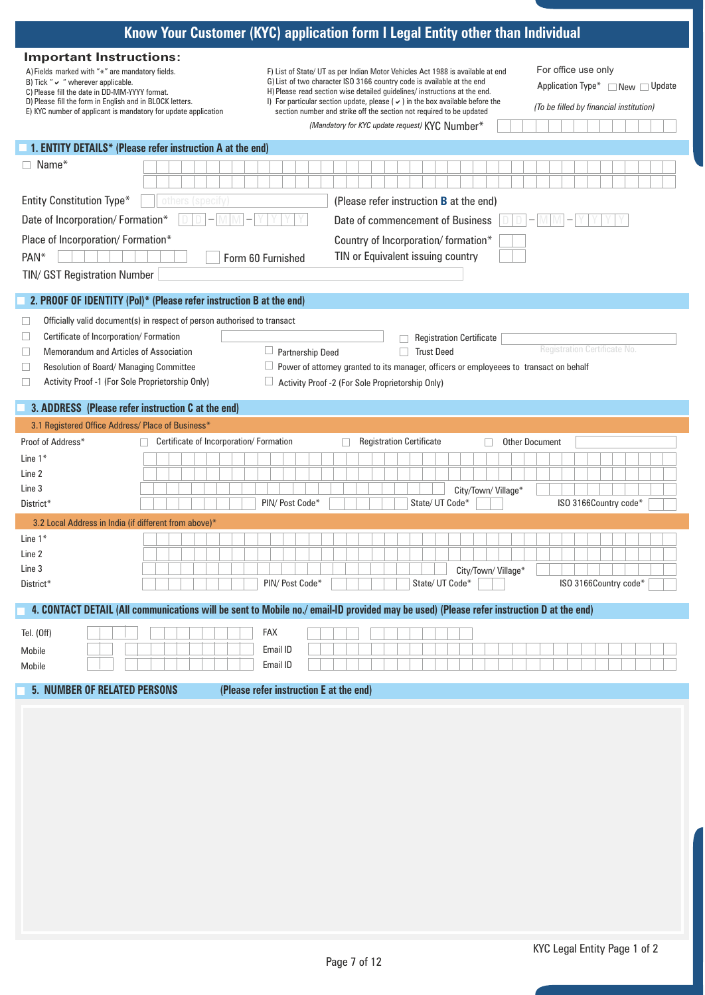|                                                                                                                                                                                                                                                                                                             | Know Your Customer (KYC) application form I Legal Entity other than Individual                                                                                                                                                                                                                                                                                                                                                                         |                                                                                                    |
|-------------------------------------------------------------------------------------------------------------------------------------------------------------------------------------------------------------------------------------------------------------------------------------------------------------|--------------------------------------------------------------------------------------------------------------------------------------------------------------------------------------------------------------------------------------------------------------------------------------------------------------------------------------------------------------------------------------------------------------------------------------------------------|----------------------------------------------------------------------------------------------------|
| <b>Important Instructions:</b><br>A) Fields marked with "*" are mandatory fields.<br>B) Tick " $\vee$ " wherever applicable.<br>C) Please fill the date in DD-MM-YYYY format.<br>D) Please fill the form in English and in BLOCK letters.<br>E) KYC number of applicant is mandatory for update application | F) List of State/ UT as per Indian Motor Vehicles Act 1988 is available at end<br>G) List of two character ISO 3166 country code is available at the end<br>H) Please read section wise detailed guidelines/ instructions at the end.<br>I) For particular section update, please ( $\vee$ ) in the box available before the<br>section number and strike off the section not required to be updated<br>(Mandatory for KYC update request) KYC Number* | For office use only<br>Application Type* □ New □ Update<br>(To be filled by financial institution) |
| 1. ENTITY DETAILS* (Please refer instruction A at the end)                                                                                                                                                                                                                                                  |                                                                                                                                                                                                                                                                                                                                                                                                                                                        |                                                                                                    |
| $\Box$ Name*                                                                                                                                                                                                                                                                                                |                                                                                                                                                                                                                                                                                                                                                                                                                                                        |                                                                                                    |
| <b>Entity Constitution Type*</b><br>others (specify)                                                                                                                                                                                                                                                        | (Please refer instruction <b>B</b> at the end)                                                                                                                                                                                                                                                                                                                                                                                                         |                                                                                                    |
| Date of Incorporation/ Formation*                                                                                                                                                                                                                                                                           | Date of commencement of Business                                                                                                                                                                                                                                                                                                                                                                                                                       |                                                                                                    |
| Place of Incorporation/ Formation*                                                                                                                                                                                                                                                                          | Country of Incorporation/formation*                                                                                                                                                                                                                                                                                                                                                                                                                    |                                                                                                    |
| PAN*                                                                                                                                                                                                                                                                                                        | TIN or Equivalent issuing country<br>Form 60 Furnished                                                                                                                                                                                                                                                                                                                                                                                                 |                                                                                                    |
| <b>TIN/ GST Registration Number</b>                                                                                                                                                                                                                                                                         |                                                                                                                                                                                                                                                                                                                                                                                                                                                        |                                                                                                    |
| 2. PROOF OF IDENTITY (Pol)* (Please refer instruction B at the end)                                                                                                                                                                                                                                         |                                                                                                                                                                                                                                                                                                                                                                                                                                                        |                                                                                                    |
| Officially valid document(s) in respect of person authorised to transact                                                                                                                                                                                                                                    |                                                                                                                                                                                                                                                                                                                                                                                                                                                        |                                                                                                    |
| u<br>Certificate of Incorporation/ Formation<br>$\Box$                                                                                                                                                                                                                                                      | <b>Registration Certificate</b>                                                                                                                                                                                                                                                                                                                                                                                                                        |                                                                                                    |
| Memorandum and Articles of Association<br>$\Box$                                                                                                                                                                                                                                                            | $\Box$<br>Partnership Deed<br>□ Trust Deed                                                                                                                                                                                                                                                                                                                                                                                                             | Registration Certificate No.                                                                       |
| $\sqcup$<br>Resolution of Board/ Managing Committee                                                                                                                                                                                                                                                         | Power of attorney granted to its manager, officers or employeees to transact on behalf                                                                                                                                                                                                                                                                                                                                                                 |                                                                                                    |
| Activity Proof -1 (For Sole Proprietorship Only)<br>$\Box$                                                                                                                                                                                                                                                  | Activity Proof -2 (For Sole Proprietorship Only)                                                                                                                                                                                                                                                                                                                                                                                                       |                                                                                                    |
| 3. ADDRESS (Please refer instruction C at the end)                                                                                                                                                                                                                                                          |                                                                                                                                                                                                                                                                                                                                                                                                                                                        |                                                                                                    |
| 3.1 Registered Office Address/ Place of Business*                                                                                                                                                                                                                                                           |                                                                                                                                                                                                                                                                                                                                                                                                                                                        |                                                                                                    |
| Certificate of Incorporation/ Formation<br>Proof of Address*                                                                                                                                                                                                                                                | <b>Registration Certificate</b>                                                                                                                                                                                                                                                                                                                                                                                                                        | <b>Other Document</b>                                                                              |
| Line $1*$                                                                                                                                                                                                                                                                                                   |                                                                                                                                                                                                                                                                                                                                                                                                                                                        |                                                                                                    |
| Line 2                                                                                                                                                                                                                                                                                                      |                                                                                                                                                                                                                                                                                                                                                                                                                                                        |                                                                                                    |
| Line 3                                                                                                                                                                                                                                                                                                      | City/Town/Village*                                                                                                                                                                                                                                                                                                                                                                                                                                     |                                                                                                    |
| District*                                                                                                                                                                                                                                                                                                   | PIN/ Post Code*<br>State/ UT Code*                                                                                                                                                                                                                                                                                                                                                                                                                     | ISO 3166Country code*                                                                              |
| 3.2 Local Address in India (if different from above)*                                                                                                                                                                                                                                                       |                                                                                                                                                                                                                                                                                                                                                                                                                                                        |                                                                                                    |
| Line $1*$                                                                                                                                                                                                                                                                                                   |                                                                                                                                                                                                                                                                                                                                                                                                                                                        |                                                                                                    |
| Line 2                                                                                                                                                                                                                                                                                                      |                                                                                                                                                                                                                                                                                                                                                                                                                                                        |                                                                                                    |
| Line 3                                                                                                                                                                                                                                                                                                      | City/Town/Village*                                                                                                                                                                                                                                                                                                                                                                                                                                     |                                                                                                    |
| District*                                                                                                                                                                                                                                                                                                   | State/ UT Code*<br>PIN/ Post Code*                                                                                                                                                                                                                                                                                                                                                                                                                     | ISO 3166Country code*                                                                              |
|                                                                                                                                                                                                                                                                                                             | 4. CONTACT DETAIL (All communications will be sent to Mobile no./ email-ID provided may be used) (Please refer instruction D at the end)                                                                                                                                                                                                                                                                                                               |                                                                                                    |
| Tel. (Off)                                                                                                                                                                                                                                                                                                  | FAX                                                                                                                                                                                                                                                                                                                                                                                                                                                    |                                                                                                    |
| Mobile                                                                                                                                                                                                                                                                                                      | Email ID                                                                                                                                                                                                                                                                                                                                                                                                                                               |                                                                                                    |
| Mobile                                                                                                                                                                                                                                                                                                      | Email ID                                                                                                                                                                                                                                                                                                                                                                                                                                               |                                                                                                    |
| <b>5. NUMBER OF RELATED PERSONS</b>                                                                                                                                                                                                                                                                         | (Please refer instruction E at the end)                                                                                                                                                                                                                                                                                                                                                                                                                |                                                                                                    |
|                                                                                                                                                                                                                                                                                                             |                                                                                                                                                                                                                                                                                                                                                                                                                                                        |                                                                                                    |
|                                                                                                                                                                                                                                                                                                             |                                                                                                                                                                                                                                                                                                                                                                                                                                                        |                                                                                                    |
|                                                                                                                                                                                                                                                                                                             |                                                                                                                                                                                                                                                                                                                                                                                                                                                        |                                                                                                    |
|                                                                                                                                                                                                                                                                                                             |                                                                                                                                                                                                                                                                                                                                                                                                                                                        |                                                                                                    |
|                                                                                                                                                                                                                                                                                                             |                                                                                                                                                                                                                                                                                                                                                                                                                                                        |                                                                                                    |
|                                                                                                                                                                                                                                                                                                             |                                                                                                                                                                                                                                                                                                                                                                                                                                                        |                                                                                                    |
|                                                                                                                                                                                                                                                                                                             |                                                                                                                                                                                                                                                                                                                                                                                                                                                        |                                                                                                    |
|                                                                                                                                                                                                                                                                                                             |                                                                                                                                                                                                                                                                                                                                                                                                                                                        |                                                                                                    |
|                                                                                                                                                                                                                                                                                                             |                                                                                                                                                                                                                                                                                                                                                                                                                                                        |                                                                                                    |
|                                                                                                                                                                                                                                                                                                             |                                                                                                                                                                                                                                                                                                                                                                                                                                                        |                                                                                                    |
|                                                                                                                                                                                                                                                                                                             |                                                                                                                                                                                                                                                                                                                                                                                                                                                        |                                                                                                    |
|                                                                                                                                                                                                                                                                                                             |                                                                                                                                                                                                                                                                                                                                                                                                                                                        |                                                                                                    |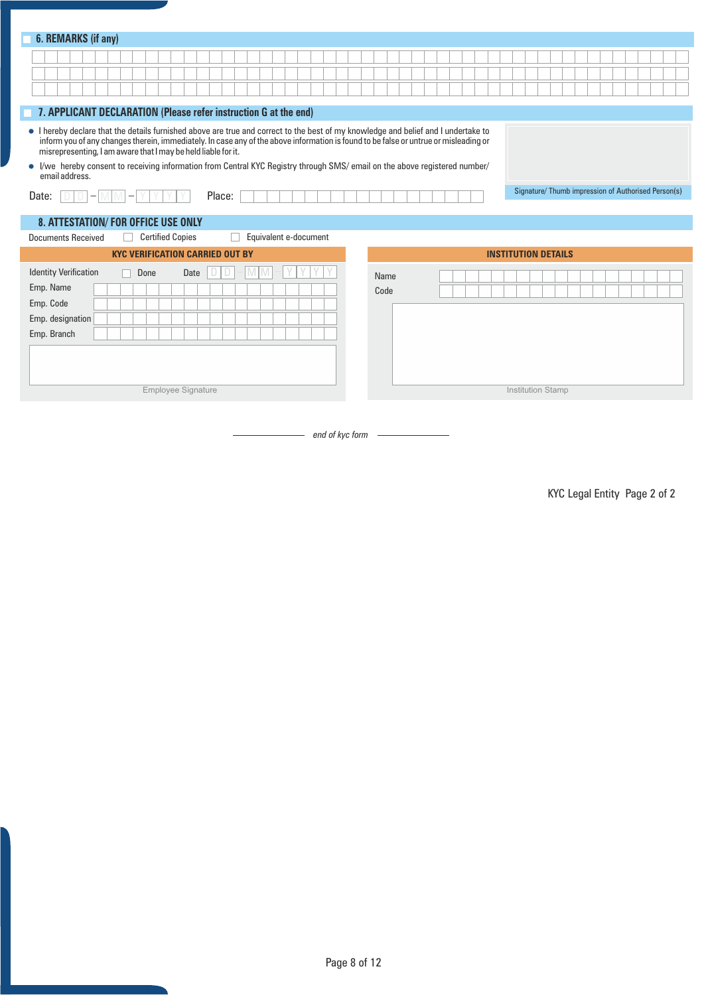| 6. REMARKS (if any)                                                                                                                                                                                                                                                                                                                                                                                                                                                                          |                                                    |
|----------------------------------------------------------------------------------------------------------------------------------------------------------------------------------------------------------------------------------------------------------------------------------------------------------------------------------------------------------------------------------------------------------------------------------------------------------------------------------------------|----------------------------------------------------|
|                                                                                                                                                                                                                                                                                                                                                                                                                                                                                              |                                                    |
|                                                                                                                                                                                                                                                                                                                                                                                                                                                                                              |                                                    |
|                                                                                                                                                                                                                                                                                                                                                                                                                                                                                              |                                                    |
| 7. APPLICANT DECLARATION (Please refer instruction G at the end)                                                                                                                                                                                                                                                                                                                                                                                                                             |                                                    |
| • I hereby declare that the details furnished above are true and correct to the best of my knowledge and belief and I undertake to<br>inform you of any changes therein, immediately. In case any of the above information is found to be false or untrue or misleading or<br>misrepresenting, I am aware that I may be held liable for it.<br>• I/we hereby consent to receiving information from Central KYC Registry through SMS/ email on the above registered number/<br>email address. |                                                    |
| Place:<br>Date:                                                                                                                                                                                                                                                                                                                                                                                                                                                                              | Signature/Thumb impression of Authorised Person(s) |
|                                                                                                                                                                                                                                                                                                                                                                                                                                                                                              |                                                    |
| 8. ATTESTATION/FOR OFFICE USE ONLY<br>Equivalent e-document<br><b>Certified Copies</b><br><b>Documents Received</b>                                                                                                                                                                                                                                                                                                                                                                          |                                                    |
| <b>KYC VERIFICATION CARRIED OUT BY</b>                                                                                                                                                                                                                                                                                                                                                                                                                                                       | <b>INSTITUTION DETAILS</b>                         |
| <b>Identity Verification</b><br>Done<br>Date<br>Emp. Name<br>Emp. Code<br>Emp. designation<br>Emp. Branch                                                                                                                                                                                                                                                                                                                                                                                    | Name<br>Code                                       |
| <b>Employee Signature</b>                                                                                                                                                                                                                                                                                                                                                                                                                                                                    | Institution Stamp                                  |

*end of kyc form*

KYC Legal Entity Page 2 of 2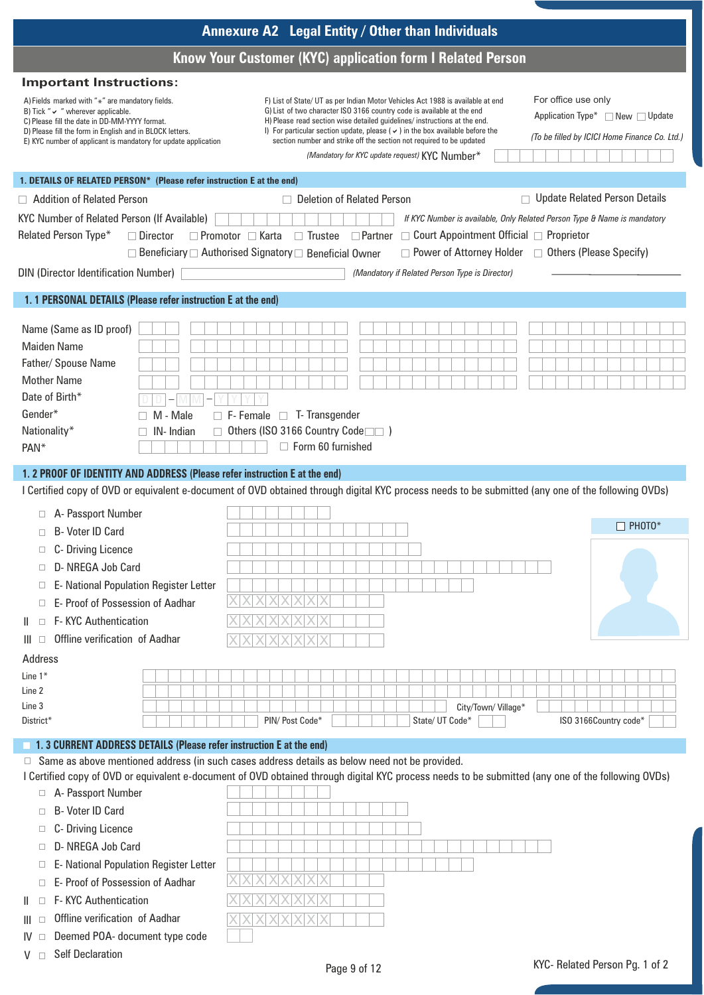|                                                                                                                                                                                                                                                                                                                                                                                                                                             | Annexure A2 Legal Entity / Other than Individuals                                                                                                                                                                                                                                                                                                                                                                                                      |                                                                                                                                                                                    |
|---------------------------------------------------------------------------------------------------------------------------------------------------------------------------------------------------------------------------------------------------------------------------------------------------------------------------------------------------------------------------------------------------------------------------------------------|--------------------------------------------------------------------------------------------------------------------------------------------------------------------------------------------------------------------------------------------------------------------------------------------------------------------------------------------------------------------------------------------------------------------------------------------------------|------------------------------------------------------------------------------------------------------------------------------------------------------------------------------------|
|                                                                                                                                                                                                                                                                                                                                                                                                                                             | Know Your Customer (KYC) application form I Related Person                                                                                                                                                                                                                                                                                                                                                                                             |                                                                                                                                                                                    |
| <b>Important Instructions:</b>                                                                                                                                                                                                                                                                                                                                                                                                              |                                                                                                                                                                                                                                                                                                                                                                                                                                                        |                                                                                                                                                                                    |
| A) Fields marked with " $*$ " are mandatory fields.<br>B) Tick " $\vee$ " wherever applicable.<br>C) Please fill the date in DD-MM-YYYY format.<br>D) Please fill the form in English and in BLOCK letters.<br>E) KYC number of applicant is mandatory for update application                                                                                                                                                               | F) List of State/ UT as per Indian Motor Vehicles Act 1988 is available at end<br>G) List of two character ISO 3166 country code is available at the end<br>H) Please read section wise detailed guidelines/ instructions at the end.<br>I) For particular section update, please ( $\vee$ ) in the box available before the<br>section number and strike off the section not required to be updated<br>(Mandatory for KYC update request) KYC Number* | For office use only<br>Application Type* $\Box$ New $\Box$ Update<br>(To be filled by ICICI Home Finance Co. Ltd.)                                                                 |
| 1. DETAILS OF RELATED PERSON* (Please refer instruction E at the end)                                                                                                                                                                                                                                                                                                                                                                       |                                                                                                                                                                                                                                                                                                                                                                                                                                                        |                                                                                                                                                                                    |
| Addition of Related Person<br>KYC Number of Related Person (If Available)<br>Related Person Type*<br>□ Director<br><b>DIN (Director Identification Number)</b>                                                                                                                                                                                                                                                                              | $\Box$ Deletion of Related Person<br>$\Box$ Promotor $\Box$ Karta<br>$\Box$ Trustee $\Box$ Partner $\Box$ Court Appointment Official $\Box$ Proprietor<br>□ Beneficiary □ Authorised Signatory □ Beneficial Owner<br>(Mandatory if Related Person Type is Director)                                                                                                                                                                                    | <b>Update Related Person Details</b><br>If KYC Number is available, Only Related Person Type & Name is mandatory<br>$\Box$ Power of Attorney Holder $\Box$ Others (Please Specify) |
| 1. 1 PERSONAL DETAILS (Please refer instruction E at the end)                                                                                                                                                                                                                                                                                                                                                                               |                                                                                                                                                                                                                                                                                                                                                                                                                                                        |                                                                                                                                                                                    |
| Name (Same as ID proof)<br>Maiden Name<br>Father/ Spouse Name<br><b>Mother Name</b><br>Date of Birth*<br>Gender*<br>M - Male<br>Nationality*<br>IN-Indian<br>PAN <sup>*</sup><br>1. 2 PROOF OF IDENTITY AND ADDRESS (Please refer instruction E at the end)                                                                                                                                                                                 | $\Box$ F- Female $\Box$ T- Transgender<br>Others (ISO 3166 Country Code<br>$\Box$ Form 60 furnished                                                                                                                                                                                                                                                                                                                                                    |                                                                                                                                                                                    |
|                                                                                                                                                                                                                                                                                                                                                                                                                                             | I Certified copy of OVD or equivalent e-document of OVD obtained through digital KYC process needs to be submitted (any one of the following OVDs)                                                                                                                                                                                                                                                                                                     |                                                                                                                                                                                    |
| □ A- Passport Number<br>□ B- Voter ID Card<br>C- Driving Licence<br>$\Box$<br>D- NREGA Job Card<br>$\Box$<br>E- National Population Register Letter<br>$\Box$<br>E- Proof of Possession of Aadhar<br>□<br><b>F-KYC Authentication</b><br>$\mathbf{H}$<br>$\Box$<br>Offline verification of Aadhar<br>Ш<br>□                                                                                                                                 |                                                                                                                                                                                                                                                                                                                                                                                                                                                        | $\Box$ Photo*                                                                                                                                                                      |
| Address<br>Line $1^*$<br>Line 2<br>Line 3<br>District*                                                                                                                                                                                                                                                                                                                                                                                      | PIN/ Post Code*<br>State/ UT Code*                                                                                                                                                                                                                                                                                                                                                                                                                     | City/Town/Village*<br>ISO 3166Country code*                                                                                                                                        |
| 1.3 CURRENT ADDRESS DETAILS (Please refer instruction E at the end)<br>A- Passport Number<br>$\Box$<br>B- Voter ID Card<br>$\Box$<br>C- Driving Licence<br>$\Box$<br>D- NREGA Job Card<br>$\Box$<br>E- National Population Register Letter<br>$\Box$<br>E- Proof of Possession of Aadhar<br><b>F-KYC Authentication</b><br>$\Box$<br>$\mathbf{H}$<br>Offline verification of Aadhar<br>Ш<br>□<br>Deemed POA- document type code<br>IV.<br>□ | $\Box$ Same as above mentioned address (in such cases address details as below need not be provided.<br>I Certified copy of OVD or equivalent e-document of OVD obtained through digital KYC process needs to be submitted (any one of the following OVDs)                                                                                                                                                                                             |                                                                                                                                                                                    |
| <b>Self Declaration</b><br>V<br>$\Box$                                                                                                                                                                                                                                                                                                                                                                                                      | Page 9 of 12                                                                                                                                                                                                                                                                                                                                                                                                                                           | KYC- Related Person Pg. 1 of 2                                                                                                                                                     |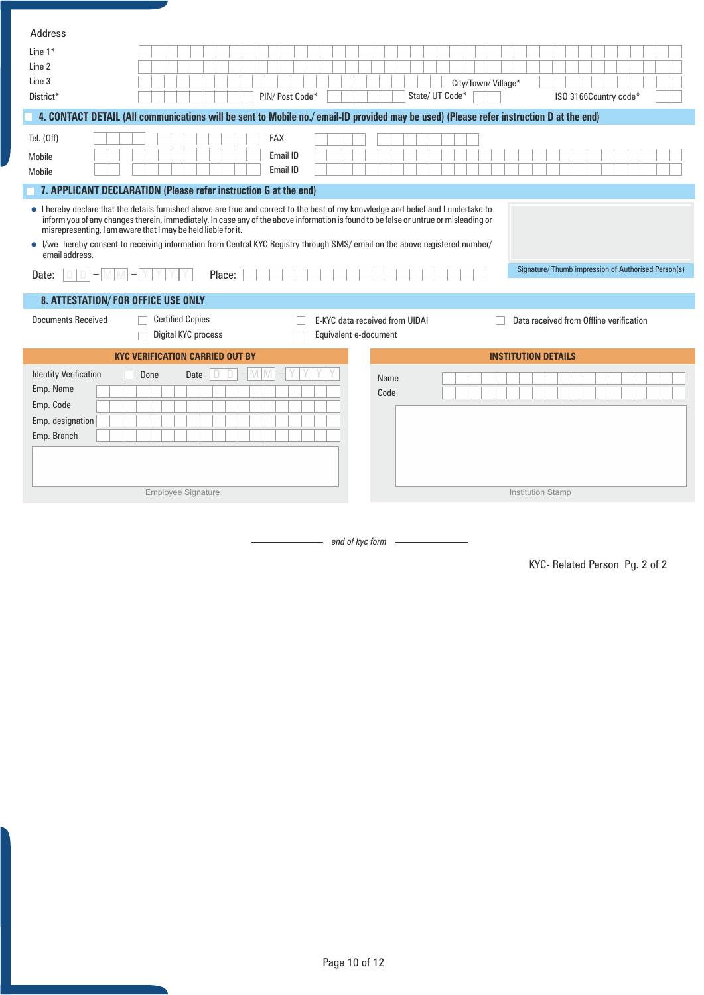| Address                                                                                           |                                                                                                                                                                                                                                                                                                                                                                                                         |                                |                                                     |
|---------------------------------------------------------------------------------------------------|---------------------------------------------------------------------------------------------------------------------------------------------------------------------------------------------------------------------------------------------------------------------------------------------------------------------------------------------------------------------------------------------------------|--------------------------------|-----------------------------------------------------|
| Line $1*$                                                                                         |                                                                                                                                                                                                                                                                                                                                                                                                         |                                |                                                     |
| Line 2                                                                                            |                                                                                                                                                                                                                                                                                                                                                                                                         |                                |                                                     |
| Line 3                                                                                            |                                                                                                                                                                                                                                                                                                                                                                                                         |                                | City/Town/Village*                                  |
| District*                                                                                         | PIN/ Post Code*                                                                                                                                                                                                                                                                                                                                                                                         | State/ UT Code*                | ISO 3166Country code*                               |
|                                                                                                   | 4. CONTACT DETAIL (All communications will be sent to Mobile no./ email-ID provided may be used) (Please refer instruction D at the end)                                                                                                                                                                                                                                                                |                                |                                                     |
| Tel. (Off)                                                                                        | <b>FAX</b>                                                                                                                                                                                                                                                                                                                                                                                              |                                |                                                     |
| Mobile                                                                                            | Email ID                                                                                                                                                                                                                                                                                                                                                                                                |                                |                                                     |
| Mobile                                                                                            | Email ID                                                                                                                                                                                                                                                                                                                                                                                                |                                |                                                     |
| 7. APPLICANT DECLARATION (Please refer instruction G at the end)                                  |                                                                                                                                                                                                                                                                                                                                                                                                         |                                |                                                     |
| misrepresenting, I am aware that I may be held liable for it.<br>$\bullet$<br>email address.      | • I hereby declare that the details furnished above are true and correct to the best of my knowledge and belief and I undertake to<br>inform you of any changes therein, immediately. In case any of the above information is found to be false or untrue or misleading or<br>I/we hereby consent to receiving information from Central KYC Registry through SMS/ email on the above registered number/ |                                |                                                     |
| Date:                                                                                             | Place:                                                                                                                                                                                                                                                                                                                                                                                                  |                                | Signature/ Thumb impression of Authorised Person(s) |
|                                                                                                   |                                                                                                                                                                                                                                                                                                                                                                                                         |                                |                                                     |
|                                                                                                   |                                                                                                                                                                                                                                                                                                                                                                                                         |                                |                                                     |
| 8. ATTESTATION/FOR OFFICE USE ONLY                                                                |                                                                                                                                                                                                                                                                                                                                                                                                         |                                |                                                     |
| <b>Documents Received</b>                                                                         | <b>Certified Copies</b>                                                                                                                                                                                                                                                                                                                                                                                 | E-KYC data received from UIDAI | Data received from Offline verification             |
|                                                                                                   | Digital KYC process                                                                                                                                                                                                                                                                                                                                                                                     | Equivalent e-document          |                                                     |
|                                                                                                   | <b>KYC VERIFICATION CARRIED OUT BY</b>                                                                                                                                                                                                                                                                                                                                                                  |                                | <b>INSTITUTION DETAILS</b>                          |
| <b>Identity Verification</b><br>Done<br>Emp. Name<br>Emp. Code<br>Emp. designation<br>Emp. Branch | Date<br>Employee Signature                                                                                                                                                                                                                                                                                                                                                                              | Name<br>Code                   | <b>Institution Stamp</b>                            |

*end of kyc form*

KYC- Related Person Pg. 2 of 2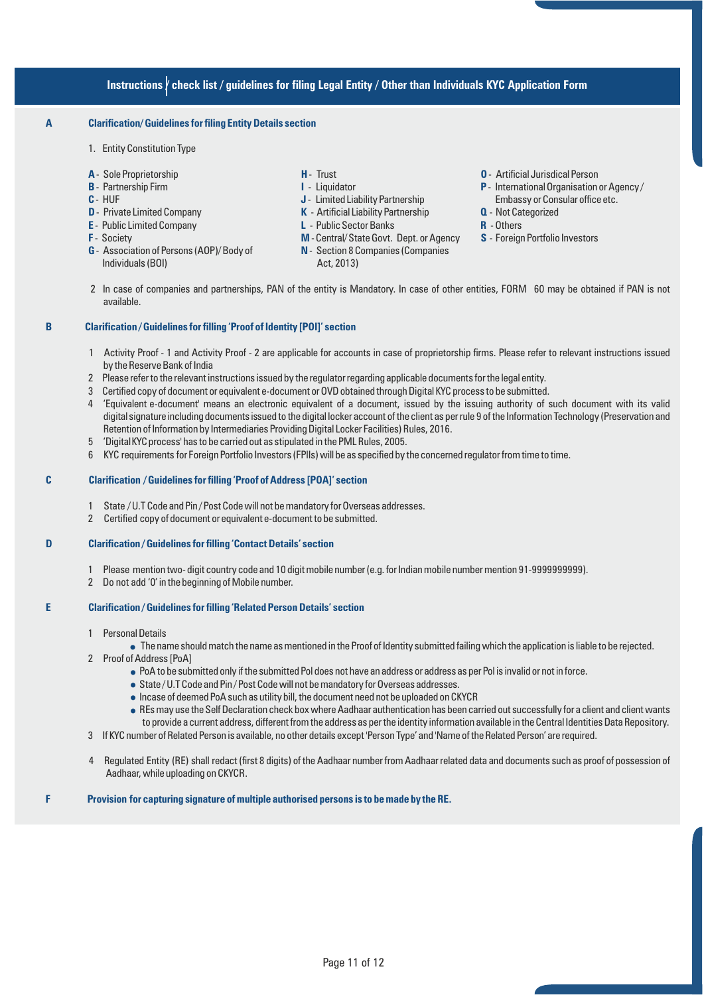### **Instructions / check list / guidelines for filing Legal Entity / Other than Individuals KYC Application Form**

### **A Clarification/ Guidelines for filing Entity Details section**

- 1. Entity Constitution Type
- 
- 
- 
- 
- 
- 
- **G** Association of Persons (AOP)/ Body of **N** Section 8 Companies (Companies Individuals (BOI) Act, 2013)
- 
- 
- **J** Limited Liability Partnership
- **D** Private Limited Company **K** Artificial Liability Partnership **Q** Not Categorized
- **E** Public Limited Company **L** Public Sector Banks **R** Others
- **F** Society **M** Central/ State Govt. Dept. or Agency **S** Foreign Portfolio Investors
	-
- **A** Sole Proprietorship **H** Trust **O** Artificial Jurisdical Person
- **B** Partnership Firm **I I** Liquidator **I I** Liquidator **P** International Organisation or Agency /<br>**C** HUF **I I** Limited Liability Partnership **I** Embassy or Consular office etc.
	-
	-
	-
- 2 In case of companies and partnerships, PAN of the entity is Mandatory. In case of other entities, FORM 60 may be obtained if PAN is not available.

#### **B Clarification / Guidelines for filling 'Proof of Identity [POI]' section**

- 1 Activity Proof 1 and Activity Proof 2 are applicable for accounts in case of proprietorship firms. Please refer to relevant instructions issued by the Reserve Bank of India
- 2 Please refer to the relevant instructions issued by the regulator regarding applicable documents for the legal entity.
- 3 Certified copy of document or equivalent e-document or OVD obtained through Digital KYC process to be submitted.
- 4 'Equivalent e-document' means an electronic equivalent of a document, issued by the issuing authority of such document with its valid digital signature including documents issued to the digital locker account of the client as per rule 9 of the Information Technology (Preservation and Retention of Information by Intermediaries Providing Digital Locker Facilities) Rules, 2016.
- 5 'DigitalKYCprocess' has to be carried out as stipulated in the PML Rules, 2005.
- 6 KYC requirements for Foreign Portfolio Investors (FPlIs) will be as specified by the concerned regulator from time to time.

#### **C Clarification / Guidelines for filling 'Proof of Address [POA]' section**

- 1 State / U.T Code and Pin / Post Code will not be mandatory for Overseas addresses.
- 2 Certified copy of document or equivalent e-document to be submitted.

### **D Clarification / Guidelines for filling 'Contact Details' section**

- 1 Please mention two- digit country code and 10 digit mobile number (e.g. for Indian mobile number mention 91-9999999999).
- 2 Do not add '0' in the beginning of Mobile number.

#### **E Clarification / Guidelines for filling 'Related Person Details' section**

1 Personal Details

• The name should match the name as mentioned in the Proof of Identity submitted failing which the application is liable to be rejected.

- 2 Proof of Address [PoA]
	- <sup>n</sup> PoA to be submitted only if the submitted Pol does not have an address or address as per Pol is invalid or not in force.
	- State / U.T Code and Pin / Post Code will not be mandatory for Overseas addresses.
	- $\bullet$  Incase of deemed PoA such as utility bill, the document need not be uploaded on CKYCR
	- <sup>n</sup> REs may use the Self Declaration check box where Aadhaar authentication has been carried out successfully for a client and client wants to provide a current address, different from the address as per the identity information available in the Central Identities Data Repository.
- 3 If KYC number of Related Person is available, no other details except 'Person Type' and 'Name of the Related Person' are required.
- 4 Regulated Entity (RE) shall redact (first 8 digits) of the Aadhaar number from Aadhaar related data and documents such as proof of possession of Aadhaar, while uploading on CKYCR.

**F Provision for capturing signature of multiple authorised persons is to be made by the RE.**